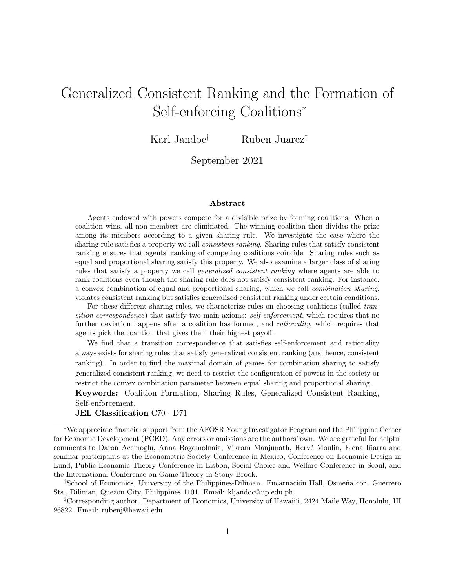# Generalized Consistent Ranking and the Formation of Self-enforcing Coalitions<sup>∗</sup>

Karl Jandoc† Ruben Juarez‡

September 2021

#### Abstract

Agents endowed with powers compete for a divisible prize by forming coalitions. When a coalition wins, all non-members are eliminated. The winning coalition then divides the prize among its members according to a given sharing rule. We investigate the case where the sharing rule satisfies a property we call *consistent ranking*. Sharing rules that satisfy consistent ranking ensures that agents' ranking of competing coalitions coincide. Sharing rules such as equal and proportional sharing satisfy this property. We also examine a larger class of sharing rules that satisfy a property we call generalized consistent ranking where agents are able to rank coalitions even though the sharing rule does not satisfy consistent ranking. For instance, a convex combination of equal and proportional sharing, which we call combination sharing, violates consistent ranking but satisfies generalized consistent ranking under certain conditions.

For these different sharing rules, we characterize rules on choosing coalitions (called transition correspondence) that satisfy two main axioms: self-enforcement, which requires that no further deviation happens after a coalition has formed, and *rationality*, which requires that agents pick the coalition that gives them their highest payoff.

We find that a transition correspondence that satisfies self-enforcement and rationality always exists for sharing rules that satisfy generalized consistent ranking (and hence, consistent ranking). In order to find the maximal domain of games for combination sharing to satisfy generalized consistent ranking, we need to restrict the configuration of powers in the society or restrict the convex combination parameter between equal sharing and proportional sharing. Keywords: Coalition Formation, Sharing Rules, Generalized Consistent Ranking, Self-enforcement.

JEL Classification C70 · D71

<sup>∗</sup>We appreciate financial support from the AFOSR Young Investigator Program and the Philippine Center for Economic Development (PCED). Any errors or omissions are the authors' own. We are grateful for helpful comments to Daron Acemoglu, Anna Bogomolnaia, Vikram Manjunath, Hervé Moulin, Elena Iñarra and seminar participants at the Econometric Society Conference in Mexico, Conference on Economic Design in Lund, Public Economic Theory Conference in Lisbon, Social Choice and Welfare Conference in Seoul, and the International Conference on Game Theory in Stony Brook.

<sup>&</sup>lt;sup>†</sup>School of Economics, University of the Philippines-Diliman. Encarnación Hall, Osmeña cor. Guerrero Sts., Diliman, Quezon City, Philippines 1101. Email: kljandoc@up.edu.ph

<sup>‡</sup>Corresponding author. Department of Economics, University of Hawaii'i, 2424 Maile Way, Honolulu, HI 96822. Email: rubenj@hawaii.edu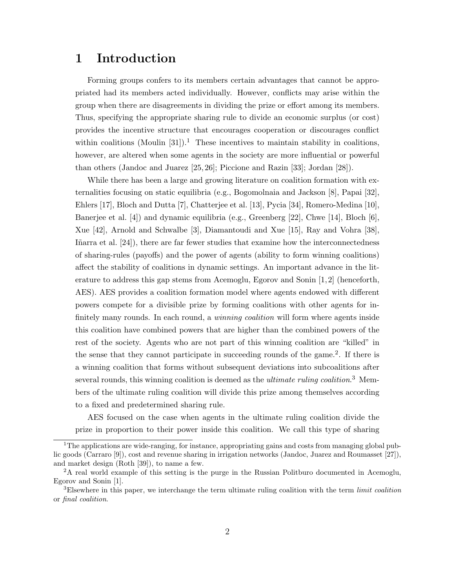## 1 Introduction

Forming groups confers to its members certain advantages that cannot be appropriated had its members acted individually. However, conflicts may arise within the group when there are disagreements in dividing the prize or effort among its members. Thus, specifying the appropriate sharing rule to divide an economic surplus (or cost) provides the incentive structure that encourages cooperation or discourages conflict within coalitions (Moulin [31]).<sup>1</sup> These incentives to maintain stability in coalitions, however, are altered when some agents in the society are more influential or powerful than others (Jandoc and Juarez [25, 26]; Piccione and Razin [33]; Jordan [28]).

While there has been a large and growing literature on coalition formation with externalities focusing on static equilibria (e.g., Bogomolnaia and Jackson [8], Papai [32], Ehlers [17], Bloch and Dutta [7], Chatterjee et al. [13], Pycia [34], Romero-Medina [10], Banerjee et al. [4]) and dynamic equilibria (e.g., Greenberg [22], Chwe [14], Bloch [6], Xue [42], Arnold and Schwalbe [3], Diamantoudi and Xue [15], Ray and Vohra [38], Iñarra et al. [24]), there are far fewer studies that examine how the interconnectedness of sharing-rules (payoffs) and the power of agents (ability to form winning coalitions) affect the stability of coalitions in dynamic settings. An important advance in the literature to address this gap stems from Acemoglu, Egorov and Sonin [1, 2] (henceforth, AES). AES provides a coalition formation model where agents endowed with different powers compete for a divisible prize by forming coalitions with other agents for infinitely many rounds. In each round, a *winning coalition* will form where agents inside this coalition have combined powers that are higher than the combined powers of the rest of the society. Agents who are not part of this winning coalition are "killed" in the sense that they cannot participate in succeeding rounds of the game.<sup>2</sup>. If there is a winning coalition that forms without subsequent deviations into subcoalitions after several rounds, this winning coalition is deemed as the *ultimate ruling coalition*.<sup>3</sup> Members of the ultimate ruling coalition will divide this prize among themselves according to a fixed and predetermined sharing rule.

AES focused on the case when agents in the ultimate ruling coalition divide the prize in proportion to their power inside this coalition. We call this type of sharing

<sup>&</sup>lt;sup>1</sup>The applications are wide-ranging, for instance, appropriating gains and costs from managing global public goods (Carraro [9]), cost and revenue sharing in irrigation networks (Jandoc, Juarez and Roumasset [27]), and market design (Roth [39]), to name a few.

<sup>2</sup>A real world example of this setting is the purge in the Russian Politburo documented in Acemoglu, Egorov and Sonin [1].

<sup>&</sup>lt;sup>3</sup>Elsewhere in this paper, we interchange the term ultimate ruling coalition with the term *limit coalition* or final coalition.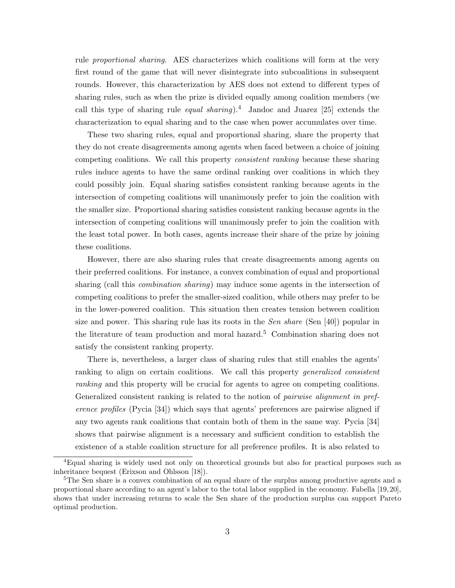rule proportional sharing. AES characterizes which coalitions will form at the very first round of the game that will never disintegrate into subcoalitions in subsequent rounds. However, this characterization by AES does not extend to different types of sharing rules, such as when the prize is divided equally among coalition members (we call this type of sharing rule *equal sharing*).<sup>4</sup> Jandoc and Juarez [25] extends the characterization to equal sharing and to the case when power accumulates over time.

These two sharing rules, equal and proportional sharing, share the property that they do not create disagreements among agents when faced between a choice of joining competing coalitions. We call this property consistent ranking because these sharing rules induce agents to have the same ordinal ranking over coalitions in which they could possibly join. Equal sharing satisfies consistent ranking because agents in the intersection of competing coalitions will unanimously prefer to join the coalition with the smaller size. Proportional sharing satisfies consistent ranking because agents in the intersection of competing coalitions will unanimously prefer to join the coalition with the least total power. In both cases, agents increase their share of the prize by joining these coalitions.

However, there are also sharing rules that create disagreements among agents on their preferred coalitions. For instance, a convex combination of equal and proportional sharing (call this combination sharing) may induce some agents in the intersection of competing coalitions to prefer the smaller-sized coalition, while others may prefer to be in the lower-powered coalition. This situation then creates tension between coalition size and power. This sharing rule has its roots in the *Sen share* (Sen [40]) popular in the literature of team production and moral hazard.<sup>5</sup> Combination sharing does not satisfy the consistent ranking property.

There is, nevertheless, a larger class of sharing rules that still enables the agents' ranking to align on certain coalitions. We call this property generalized consistent ranking and this property will be crucial for agents to agree on competing coalitions. Generalized consistent ranking is related to the notion of *pairwise alignment in pref*erence profiles (Pycia [34]) which says that agents' preferences are pairwise aligned if any two agents rank coalitions that contain both of them in the same way. Pycia [34] shows that pairwise alignment is a necessary and sufficient condition to establish the existence of a stable coalition structure for all preference profiles. It is also related to

<sup>4</sup>Equal sharing is widely used not only on theoretical grounds but also for practical purposes such as inheritance bequest (Erixson and Ohlsson [18]).

<sup>&</sup>lt;sup>5</sup>The Sen share is a convex combination of an equal share of the surplus among productive agents and a proportional share according to an agent's labor to the total labor supplied in the economy. Fabella [19, 20], shows that under increasing returns to scale the Sen share of the production surplus can support Pareto optimal production.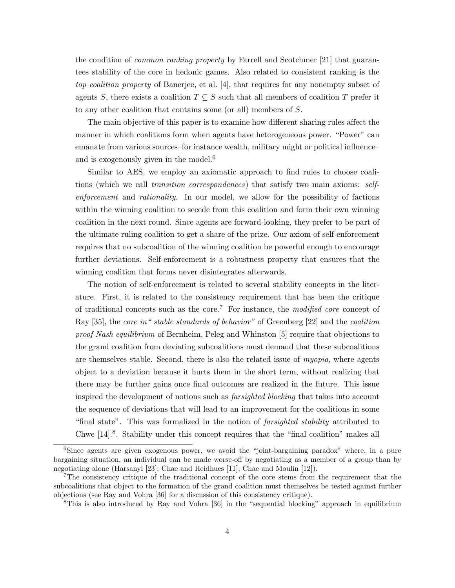the condition of common ranking property by Farrell and Scotchmer [21] that guarantees stability of the core in hedonic games. Also related to consistent ranking is the top coalition property of Banerjee, et al. [4], that requires for any nonempty subset of agents S, there exists a coalition  $T \subseteq S$  such that all members of coalition T prefer it to any other coalition that contains some (or all) members of S.

The main objective of this paper is to examine how different sharing rules affect the manner in which coalitions form when agents have heterogeneous power. "Power" can emanate from various sources–for instance wealth, military might or political influence– and is exogenously given in the model.<sup>6</sup>

Similar to AES, we employ an axiomatic approach to find rules to choose coalitions (which we call *transition correspondences*) that satisfy two main axioms: selfenforcement and rationality. In our model, we allow for the possibility of factions within the winning coalition to secede from this coalition and form their own winning coalition in the next round. Since agents are forward-looking, they prefer to be part of the ultimate ruling coalition to get a share of the prize. Our axiom of self-enforcement requires that no subcoalition of the winning coalition be powerful enough to encourage further deviations. Self-enforcement is a robustness property that ensures that the winning coalition that forms never disintegrates afterwards.

The notion of self-enforcement is related to several stability concepts in the literature. First, it is related to the consistency requirement that has been the critique of traditional concepts such as the core.<sup>7</sup> For instance, the modified core concept of Ray [35], the core in" stable standards of behavior" of Greenberg [22] and the coalition proof Nash equilibrium of Bernheim, Peleg and Whinston [5] require that objections to the grand coalition from deviating subcoalitions must demand that these subcoalitions are themselves stable. Second, there is also the related issue of myopia, where agents object to a deviation because it hurts them in the short term, without realizing that there may be further gains once final outcomes are realized in the future. This issue inspired the development of notions such as farsighted blocking that takes into account the sequence of deviations that will lead to an improvement for the coalitions in some "final state". This was formalized in the notion of farsighted stability attributed to Chwe [14].<sup>8</sup>. Stability under this concept requires that the "final coalition" makes all

<sup>6</sup>Since agents are given exogenous power, we avoid the "joint-bargaining paradox" where, in a pure bargaining situation, an individual can be made worse-off by negotiating as a member of a group than by negotiating alone (Harsanyi [23]; Chae and Heidhues [11]; Chae and Moulin [12]).

<sup>&</sup>lt;sup>7</sup>The consistency critique of the traditional concept of the core stems from the requirement that the subcoalitions that object to the formation of the grand coalition must themselves be tested against further objections (see Ray and Vohra [36] for a discussion of this consistency critique).

<sup>&</sup>lt;sup>8</sup>This is also introduced by Ray and Vohra [36] in the "sequential blocking" approach in equilibrium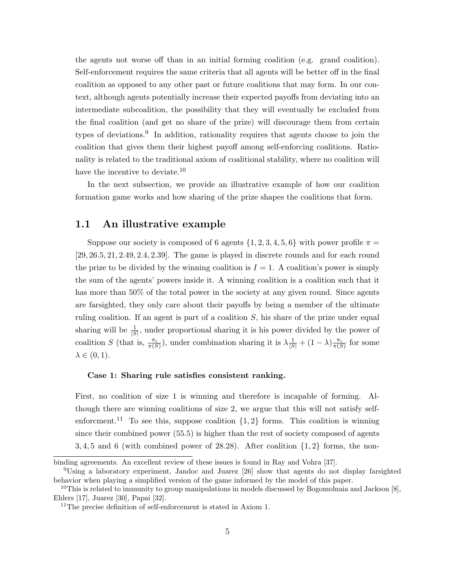the agents not worse off than in an initial forming coalition (e.g. grand coalition). Self-enforcement requires the same criteria that all agents will be better off in the final coalition as opposed to any other past or future coalitions that may form. In our context, although agents potentially increase their expected payoffs from deviating into an intermediate subcoalition, the possibility that they will eventually be excluded from the final coalition (and get no share of the prize) will discourage them from certain types of deviations.<sup>9</sup> In addition, rationality requires that agents choose to join the coalition that gives them their highest payoff among self-enforcing coalitions. Rationality is related to the traditional axiom of coalitional stability, where no coalition will have the incentive to deviate.<sup>10</sup>

In the next subsection, we provide an illustrative example of how our coalition formation game works and how sharing of the prize shapes the coalitions that form.

#### 1.1 An illustrative example

Suppose our society is composed of 6 agents  $\{1, 2, 3, 4, 5, 6\}$  with power profile  $\pi =$ [29, 26.5, 21, 2.49, 2.4, 2.39]. The game is played in discrete rounds and for each round the prize to be divided by the winning coalition is  $I = 1$ . A coalition's power is simply the sum of the agents' powers inside it. A winning coalition is a coalition such that it has more than 50% of the total power in the society at any given round. Since agents are farsighted, they only care about their payoffs by being a member of the ultimate ruling coalition. If an agent is part of a coalition S, his share of the prize under equal sharing will be  $\frac{1}{|S|}$ , under proportional sharing it is his power divided by the power of coalition S (that is,  $\frac{\pi_i}{\pi(S)}$ ), under combination sharing it is  $\lambda \frac{1}{|S|} + (1 - \lambda) \frac{\pi_i}{\pi(S)}$  for some  $\lambda \in (0,1)$ .

#### Case 1: Sharing rule satisfies consistent ranking.

First, no coalition of size 1 is winning and therefore is incapable of forming. Although there are winning coalitions of size 2, we argue that this will not satisfy selfenforcment.<sup>11</sup> To see this, suppose coalition  $\{1,2\}$  forms. This coalition is winning since their combined power (55.5) is higher than the rest of society composed of agents  $3, 4, 5$  and 6 (with combined power of 28.28). After coalition  $\{1, 2\}$  forms, the non-

binding agreements. An excellent review of these issues is found in Ray and Vohra [37].

<sup>9</sup>Using a laboratory experiment, Jandoc and Juarez [26] show that agents do not display farsighted behavior when playing a simplified version of the game informed by the model of this paper.

<sup>&</sup>lt;sup>10</sup>This is related to immunity to group manipulations in models discussed by Bogomolnaia and Jackson [8], Ehlers [17], Juarez [30], Papai [32].

<sup>&</sup>lt;sup>11</sup>The precise definition of self-enforcement is stated in Axiom 1.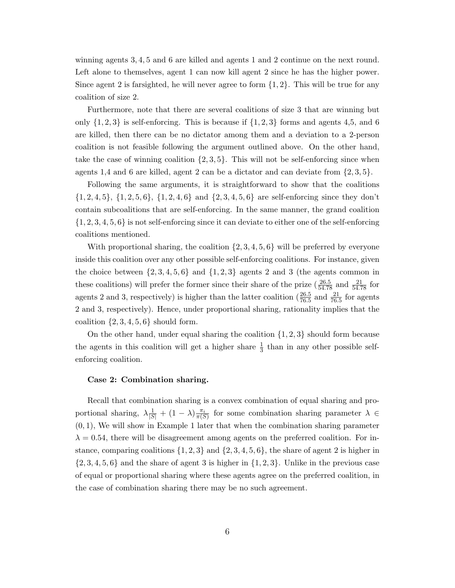winning agents 3, 4, 5 and 6 are killed and agents 1 and 2 continue on the next round. Left alone to themselves, agent 1 can now kill agent 2 since he has the higher power. Since agent 2 is farsighted, he will never agree to form  $\{1, 2\}$ . This will be true for any coalition of size 2.

Furthermore, note that there are several coalitions of size 3 that are winning but only  $\{1, 2, 3\}$  is self-enforcing. This is because if  $\{1, 2, 3\}$  forms and agents 4,5, and 6 are killed, then there can be no dictator among them and a deviation to a 2-person coalition is not feasible following the argument outlined above. On the other hand, take the case of winning coalition  $\{2, 3, 5\}$ . This will not be self-enforcing since when agents 1,4 and 6 are killed, agent 2 can be a dictator and can deviate from  $\{2,3,5\}$ .

Following the same arguments, it is straightforward to show that the coalitions  $\{1, 2, 4, 5\}, \{1, 2, 5, 6\}, \{1, 2, 4, 6\}$  and  $\{2, 3, 4, 5, 6\}$  are self-enforcing since they don't contain subcoalitions that are self-enforcing. In the same manner, the grand coalition  $\{1, 2, 3, 4, 5, 6\}$  is not self-enforcing since it can deviate to either one of the self-enforcing coalitions mentioned.

With proportional sharing, the coalition  $\{2, 3, 4, 5, 6\}$  will be preferred by everyone inside this coalition over any other possible self-enforcing coalitions. For instance, given the choice between  $\{2, 3, 4, 5, 6\}$  and  $\{1, 2, 3\}$  agents 2 and 3 (the agents common in these coalitions) will prefer the former since their share of the prize  $(\frac{26.5}{54.78}$  and  $\frac{21}{54.78}$  for agents 2 and 3, respectively) is higher than the latter coalition  $(\frac{26.5}{76.5}$  and  $\frac{21}{76.5}$  for agents 2 and 3, respectively). Hence, under proportional sharing, rationality implies that the coalition  $\{2, 3, 4, 5, 6\}$  should form.

On the other hand, under equal sharing the coalition  $\{1, 2, 3\}$  should form because the agents in this coalition will get a higher share  $\frac{1}{3}$  than in any other possible selfenforcing coalition.

#### Case 2: Combination sharing.

Recall that combination sharing is a convex combination of equal sharing and proportional sharing,  $\lambda \frac{1}{|S|} + (1 - \lambda) \frac{\pi_i}{\pi(S)}$  for some combination sharing parameter  $\lambda \in$  $(0, 1)$ , We will show in Example 1 later that when the combination sharing parameter  $\lambda = 0.54$ , there will be disagreement among agents on the preferred coalition. For instance, comparing coalitions  $\{1, 2, 3\}$  and  $\{2, 3, 4, 5, 6\}$ , the share of agent 2 is higher in  $\{2, 3, 4, 5, 6\}$  and the share of agent 3 is higher in  $\{1, 2, 3\}$ . Unlike in the previous case of equal or proportional sharing where these agents agree on the preferred coalition, in the case of combination sharing there may be no such agreement.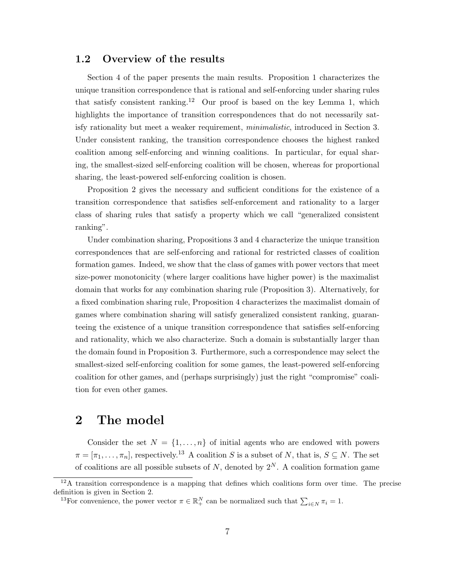### 1.2 Overview of the results

Section 4 of the paper presents the main results. Proposition 1 characterizes the unique transition correspondence that is rational and self-enforcing under sharing rules that satisfy consistent ranking.<sup>12</sup> Our proof is based on the key Lemma 1, which highlights the importance of transition correspondences that do not necessarily satisfy rationality but meet a weaker requirement, minimalistic, introduced in Section 3. Under consistent ranking, the transition correspondence chooses the highest ranked coalition among self-enforcing and winning coalitions. In particular, for equal sharing, the smallest-sized self-enforcing coalition will be chosen, whereas for proportional sharing, the least-powered self-enforcing coalition is chosen.

Proposition 2 gives the necessary and sufficient conditions for the existence of a transition correspondence that satisfies self-enforcement and rationality to a larger class of sharing rules that satisfy a property which we call "generalized consistent ranking".

Under combination sharing, Propositions 3 and 4 characterize the unique transition correspondences that are self-enforcing and rational for restricted classes of coalition formation games. Indeed, we show that the class of games with power vectors that meet size-power monotonicity (where larger coalitions have higher power) is the maximalist domain that works for any combination sharing rule (Proposition 3). Alternatively, for a fixed combination sharing rule, Proposition 4 characterizes the maximalist domain of games where combination sharing will satisfy generalized consistent ranking, guaranteeing the existence of a unique transition correspondence that satisfies self-enforcing and rationality, which we also characterize. Such a domain is substantially larger than the domain found in Proposition 3. Furthermore, such a correspondence may select the smallest-sized self-enforcing coalition for some games, the least-powered self-enforcing coalition for other games, and (perhaps surprisingly) just the right "compromise" coalition for even other games.

### 2 The model

Consider the set  $N = \{1, ..., n\}$  of initial agents who are endowed with powers  $\pi = [\pi_1, \ldots, \pi_n]$ , respectively.<sup>13</sup> A coalition S is a subset of N, that is,  $S \subseteq N$ . The set of coalitions are all possible subsets of N, denoted by  $2^N$ . A coalition formation game

 $12A$  transition correspondence is a mapping that defines which coalitions form over time. The precise definition is given in Section 2.

<sup>&</sup>lt;sup>13</sup>For convenience, the power vector  $\pi \in \mathbb{R}^N_+$  can be normalized such that  $\sum_{i \in N} \pi_i = 1$ .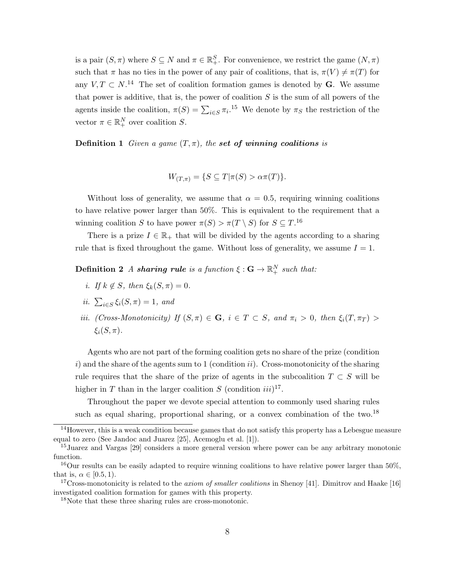is a pair  $(S, \pi)$  where  $S \subseteq N$  and  $\pi \in \mathbb{R}^S_+$ . For convenience, we restrict the game  $(N, \pi)$ such that  $\pi$  has no ties in the power of any pair of coalitions, that is,  $\pi(V) \neq \pi(T)$  for any  $V, T \subset N$ .<sup>14</sup> The set of coalition formation games is denoted by **G**. We assume that power is additive, that is, the power of coalition  $S$  is the sum of all powers of the agents inside the coalition,  $\pi(S) = \sum_{i \in S} \pi_i$ .<sup>15</sup> We denote by  $\pi_S$  the restriction of the vector  $\pi \in \mathbb{R}^N_+$  over coalition S.

**Definition 1** Given a game  $(T, \pi)$ , the set of winning coalitions is

$$
W_{(T,\pi)} = \{ S \subseteq T | \pi(S) > \alpha \pi(T) \}.
$$

Without loss of generality, we assume that  $\alpha = 0.5$ , requiring winning coalitions to have relative power larger than 50%. This is equivalent to the requirement that a winning coalition S to have power  $\pi(S) > \pi(T \setminus S)$  for  $S \subseteq T$ .<sup>16</sup>

There is a prize  $I \in \mathbb{R}_+$  that will be divided by the agents according to a sharing rule that is fixed throughout the game. Without loss of generality, we assume  $I = 1$ .

 $\textbf{Definition 2} \ \textit{A sharing rule is a function} \ \xi: \textbf{G} \rightarrow \mathbb{R}^N_+ \ \textit{such that:}$ 

- i. If  $k \notin S$ , then  $\xi_k(S, \pi) = 0$ .
- ii.  $\sum_{i \in S} \xi_i(S, \pi) = 1$ , and
- iii. (Cross-Monotonicity) If  $(S,\pi) \in \mathbf{G}$ ,  $i \in T \subset S$ , and  $\pi_i > 0$ , then  $\xi_i(T,\pi_T) >$  $\xi_i(S,\pi)$ .

Agents who are not part of the forming coalition gets no share of the prize (condition i) and the share of the agents sum to 1 (condition ii). Cross-monotonicity of the sharing rule requires that the share of the prize of agents in the subcoalition  $T \subset S$  will be higher in T than in the larger coalition S (condition  $iii$ )<sup>17</sup>.

Throughout the paper we devote special attention to commonly used sharing rules such as equal sharing, proportional sharing, or a convex combination of the two.<sup>18</sup>

 $14$ However, this is a weak condition because games that do not satisfy this property has a Lebesgue measure equal to zero (See Jandoc and Juarez [25], Acemoglu et al. [1]).

<sup>15</sup>Juarez and Vargas [29] considers a more general version where power can be any arbitrary monotonic function.

 $16$ Our results can be easily adapted to require winning coalitions to have relative power larger than  $50\%$ , that is,  $\alpha \in [0.5, 1)$ .

<sup>&</sup>lt;sup>17</sup>Cross-monotonicity is related to the *axiom of smaller coalitions* in Shenoy [41]. Dimitrov and Haake [16] investigated coalition formation for games with this property.

<sup>18</sup>Note that these three sharing rules are cross-monotonic.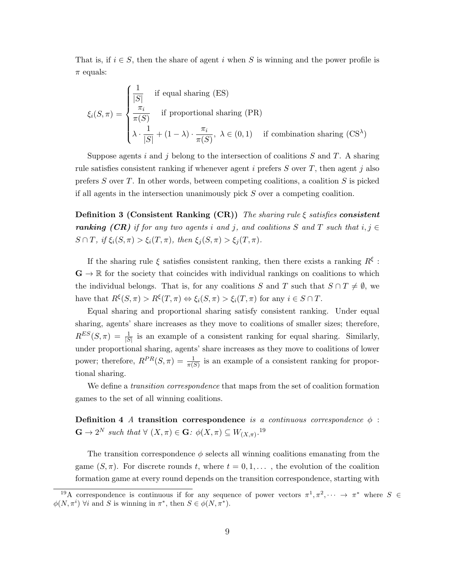That is, if  $i \in S$ , then the share of agent i when S is winning and the power profile is  $\pi$  equals:

$$
\xi_i(S,\pi) = \begin{cases}\n\frac{1}{|S|} & \text{if equal sharing (ES)} \\
\frac{\pi_i}{\pi(S)} & \text{if proportional sharing (PR)} \\
\lambda \cdot \frac{1}{|S|} + (1-\lambda) \cdot \frac{\pi_i}{\pi(S)}, \ \lambda \in (0,1) & \text{if combination sharing (CS}^{\lambda})\n\end{cases}
$$

Suppose agents i and j belong to the intersection of coalitions  $S$  and  $T$ . A sharing rule satisfies consistent ranking if whenever agent i prefers  $S$  over  $T$ , then agent j also prefers S over T. In other words, between competing coalitions, a coalition  $S$  is picked if all agents in the intersection unanimously pick  $S$  over a competing coalition.

**Definition 3 (Consistent Ranking (CR))** The sharing rule  $\xi$  satisfies consistent **ranking** (CR) if for any two agents i and j, and coalitions S and T such that  $i, j \in$  $S \cap T$ , if  $\xi_i(S, \pi) > \xi_i(T, \pi)$ , then  $\xi_j(S, \pi) > \xi_j(T, \pi)$ .

If the sharing rule  $\xi$  satisfies consistent ranking, then there exists a ranking  $R^{\xi}$ :  $\mathbf{G} \to \mathbb{R}$  for the society that coincides with individual rankings on coalitions to which the individual belongs. That is, for any coalitions S and T such that  $S \cap T \neq \emptyset$ , we have that  $R^{\xi}(S,\pi) > R^{\xi}(T,\pi) \Leftrightarrow \xi_i(S,\pi) > \xi_i(T,\pi)$  for any  $i \in S \cap T$ .

Equal sharing and proportional sharing satisfy consistent ranking. Under equal sharing, agents' share increases as they move to coalitions of smaller sizes; therefore,  $R^{ES}(S,\pi) = \frac{1}{|S|}$  is an example of a consistent ranking for equal sharing. Similarly, under proportional sharing, agents' share increases as they move to coalitions of lower power; therefore,  $R^{PR}(S,\pi) = \frac{1}{\pi(S)}$  is an example of a consistent ranking for proportional sharing.

We define a *transition correspondence* that maps from the set of coalition formation games to the set of all winning coalitions.

Definition 4 A transition correspondence is a continuous correspondence  $\phi$ :  $\mathbf{G} \to 2^N$  such that  $\forall (X,\pi) \in \mathbf{G}: \phi(X,\pi) \subseteq W_{(X,\pi)}$ .<sup>19</sup>

The transition correspondence  $\phi$  selects all winning coalitions emanating from the game  $(S, \pi)$ . For discrete rounds t, where  $t = 0, 1, \ldots$ , the evolution of the coalition formation game at every round depends on the transition correspondence, starting with

<sup>&</sup>lt;sup>19</sup>A correspondence is continuous if for any sequence of power vectors  $\pi^1, \pi^2, \dots \to \pi^*$  where  $S \in$  $\phi(N, \pi^i)$   $\forall i$  and S is winning in  $\pi^*$ , then  $S \in \phi(N, \pi^*)$ .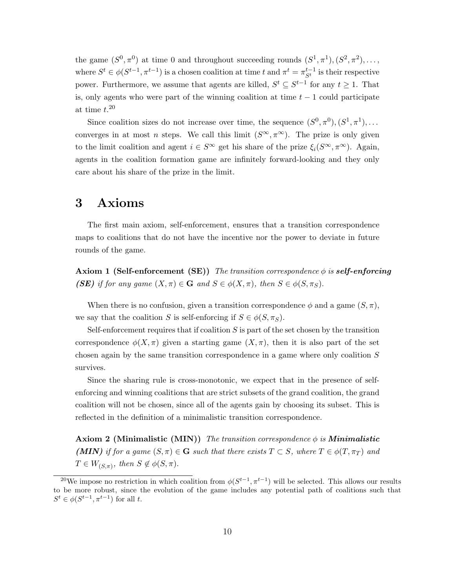the game  $(S^0, \pi^0)$  at time 0 and throughout succeeding rounds  $(S^1, \pi^1), (S^2, \pi^2), \ldots$ where  $S^t \in \phi(S^{t-1}, \pi^{t-1})$  is a chosen coalition at time t and  $\pi^t = \pi_{S^t}^{t-1}$  is their respective power. Furthermore, we assume that agents are killed,  $S^t \subseteq S^{t-1}$  for any  $t \geq 1$ . That is, only agents who were part of the winning coalition at time  $t - 1$  could participate at time  $t.^{20}$ 

Since coalition sizes do not increase over time, the sequence  $(S^0, \pi^0), (S^1, \pi^1), \ldots$ converges in at most *n* steps. We call this limit  $(S^{\infty}, \pi^{\infty})$ . The prize is only given to the limit coalition and agent  $i \in S^{\infty}$  get his share of the prize  $\xi_i(S^{\infty}, \pi^{\infty})$ . Again, agents in the coalition formation game are infinitely forward-looking and they only care about his share of the prize in the limit.

### 3 Axioms

The first main axiom, self-enforcement, ensures that a transition correspondence maps to coalitions that do not have the incentive nor the power to deviate in future rounds of the game.

**Axiom 1 (Self-enforcement (SE))** The transition correspondence  $\phi$  is **self-enforcing** (SE) if for any game  $(X, \pi) \in \mathbf{G}$  and  $S \in \phi(X, \pi)$ , then  $S \in \phi(S, \pi_S)$ .

When there is no confusion, given a transition correspondence  $\phi$  and a game  $(S,\pi)$ , we say that the coalition S is self-enforcing if  $S \in \phi(S, \pi_S)$ .

Self-enforcement requires that if coalition  $S$  is part of the set chosen by the transition correspondence  $\phi(X,\pi)$  given a starting game  $(X,\pi)$ , then it is also part of the set chosen again by the same transition correspondence in a game where only coalition  $S$ survives.

Since the sharing rule is cross-monotonic, we expect that in the presence of selfenforcing and winning coalitions that are strict subsets of the grand coalition, the grand coalition will not be chosen, since all of the agents gain by choosing its subset. This is reflected in the definition of a minimalistic transition correspondence.

**Axiom 2 (Minimalistic (MIN))** The transition correspondence  $\phi$  is **Minimalistic** (MIN) if for a game  $(S,\pi) \in \mathbf{G}$  such that there exists  $T \subset S$ , where  $T \in \phi(T,\pi_T)$  and  $T \in W_{(S,\pi)}, \text{ then } S \notin \phi(S,\pi).$ 

<sup>&</sup>lt;sup>20</sup>We impose no restriction in which coalition from  $\phi(S^{t-1}, \pi^{t-1})$  will be selected. This allows our results to be more robust, since the evolution of the game includes any potential path of coalitions such that  $S^t \in \phi(S^{t-1}, \pi^{t-1})$  for all t.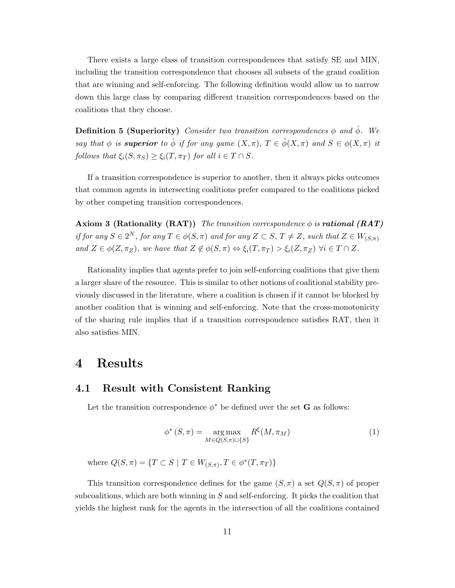There exists a large class of transition correspondences that satisfy SE and MIN, including the transition correspondence that chooses all subsets of the grand coalition that are winning and self-enforcing. The following definition would allow us to narrow down this large class by comparing different transition correspondences based on the coalitions that they choose.

**Definition 5 (Superiority)** Consider two transition correspondences  $\phi$  and  $\hat{\phi}$ . We say that  $\phi$  is **superior** to  $\hat{\phi}$  if for any game  $(X,\pi)$ ,  $T \in \hat{\phi}(X,\pi)$  and  $S \in \phi(X,\pi)$  it follows that  $\xi_i(S, \pi_S) \geq \xi_i(T, \pi_T)$  for all  $i \in T \cap S$ .

If a transition correspondence is superior to another, then it always picks outcomes that common agents in intersecting coalitions prefer compared to the coalitions picked by other competing transition correspondences.

Axiom 3 (Rationality (RAT)) The transition correspondence  $\phi$  is **rational** (RAT) if for any  $S \in 2^N$ , for any  $T \in \phi(S, \pi)$  and for any  $Z \subset S$ ,  $T \neq Z$ , such that  $Z \in W_{(S,\pi)}$ and  $Z \in \phi(Z, \pi_Z)$ , we have that  $Z \notin \phi(S, \pi) \Leftrightarrow \xi_i(T, \pi_T) > \xi_i(Z, \pi_Z)$   $\forall i \in T \cap Z$ .

Rationality implies that agents prefer to join self-enforcing coalitions that give them a larger share of the resource. This is similar to other notions of coalitional stability previously discussed in the literature, where a coalition is chosen if it cannot be blocked by another coalition that is winning and self-enforcing. Note that the cross-monotonicity of the sharing rule implies that if a transition correspondence satisfies RAT, then it also satisfies MIN.

### 4 Results

#### 4.1 Result with Consistent Ranking

Let the transition correspondence  $\phi^*$  be defined over the set **G** as follows:

$$
\phi^*(S,\pi) = \underset{M \in Q(S,\pi) \cup \{S\}}{\arg \max} R^{\xi}(M,\pi_M) \tag{1}
$$

where  $Q(S,\pi) = \{T \subset S \mid T \in W_{(S,\pi)}, T \in \phi^*(T,\pi_T)\}\$ 

This transition correspondence defines for the game  $(S, \pi)$  a set  $Q(S, \pi)$  of proper subcoalitions, which are both winning in  $S$  and self-enforcing. It picks the coalition that yields the highest rank for the agents in the intersection of all the coalitions contained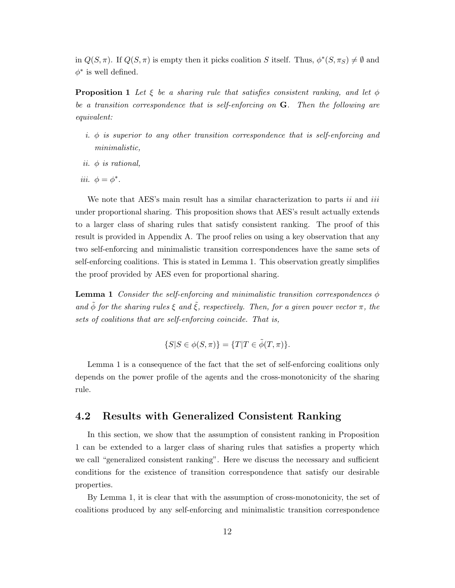in  $Q(S,\pi)$ . If  $Q(S,\pi)$  is empty then it picks coalition S itself. Thus,  $\phi^*(S,\pi_S) \neq \emptyset$  and  $\phi^*$  is well defined.

**Proposition 1** Let  $\xi$  be a sharing rule that satisfies consistent ranking, and let  $\phi$ be a transition correspondence that is self-enforcing on  $G$ . Then the following are equivalent:

- i.  $\phi$  is superior to any other transition correspondence that is self-enforcing and minimalistic,
- ii.  $\phi$  is rational,
- iii.  $\phi = \phi^*$ .

We note that AES's main result has a similar characterization to parts  $ii$  and  $iii$ under proportional sharing. This proposition shows that AES's result actually extends to a larger class of sharing rules that satisfy consistent ranking. The proof of this result is provided in Appendix A. The proof relies on using a key observation that any two self-enforcing and minimalistic transition correspondences have the same sets of self-enforcing coalitions. This is stated in Lemma 1. This observation greatly simplifies the proof provided by AES even for proportional sharing.

**Lemma 1** Consider the self-enforcing and minimalistic transition correspondences  $\phi$ and  $\tilde{\phi}$  for the sharing rules  $\xi$  and  $\tilde{\xi}$ , respectively. Then, for a given power vector  $\pi$ , the sets of coalitions that are self-enforcing coincide. That is,

$$
\{S|S \in \phi(S,\pi)\} = \{T|T \in \tilde{\phi}(T,\pi)\}.
$$

Lemma 1 is a consequence of the fact that the set of self-enforcing coalitions only depends on the power profile of the agents and the cross-monotonicity of the sharing rule.

#### 4.2 Results with Generalized Consistent Ranking

In this section, we show that the assumption of consistent ranking in Proposition 1 can be extended to a larger class of sharing rules that satisfies a property which we call "generalized consistent ranking". Here we discuss the necessary and sufficient conditions for the existence of transition correspondence that satisfy our desirable properties.

By Lemma 1, it is clear that with the assumption of cross-monotonicity, the set of coalitions produced by any self-enforcing and minimalistic transition correspondence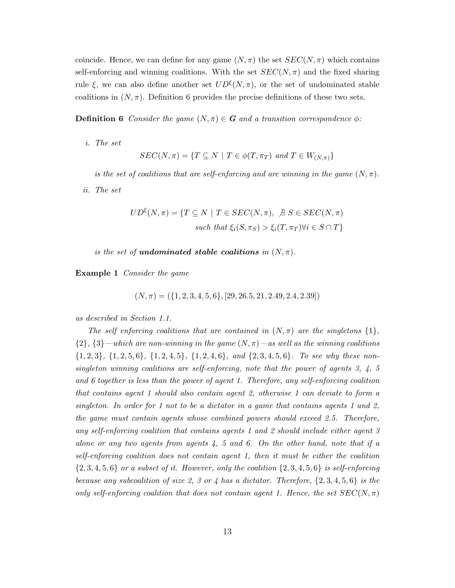coincide. Hence, we can define for any game  $(N, \pi)$  the set  $SEC(N, \pi)$  which contains self-enforcing and winning coalitions. With the set  $SEC(N, \pi)$  and the fixed sharing rule  $\xi$ , we can also define another set  $UD^{\xi}(N,\pi)$ , or the set of undominated stable coalitions in  $(N, \pi)$ . Definition 6 provides the precise definitions of these two sets.

**Definition 6** Consider the game  $(N, \pi) \in G$  and a transition correspondence  $\phi$ :

i. The set

$$
SEC(N, \pi) = \{ T \subseteq N \mid T \in \phi(T, \pi_T) \text{ and } T \in W_{(N, \pi)} \}
$$

is the set of coalitions that are self-enforcing and are winning in the game  $(N, \pi)$ .

ii. The set

$$
UD^{\xi}(N,\pi) = \{T \subseteq N \mid T \in SEC(N,\pi), \ \nexists \ S \in SEC(N,\pi) \}
$$
\n
$$
such that \ \xi_i(S,\pi_S) > \xi_i(T,\pi_T) \ \forall i \in S \cap T \}
$$

is the set of **undominated stable coalitions** in  $(N, \pi)$ .

Example 1 Consider the game

$$
(N, \pi) = (\{1, 2, 3, 4, 5, 6\}, [29, 26.5, 21, 2.49, 2.4, 2.39])
$$

as described in Section 1.1.

The self enforcing coalitions that are contained in  $(N,\pi)$  are the singletons  $\{1\}$ ,  $\{2\},\{3\}$ —which are non-winning in the game  $(N,\pi)$ —as well as the winning coalitions  ${1, 2, 3}, {1, 2, 5, 6}, {1, 2, 4, 5}, {1, 2, 4, 6}, and {2, 3, 4, 5, 6}.$  To see why these nonsingleton winning coalitions are self-enforcing, note that the power of agents  $3, 4, 5$ and 6 together is less than the power of agent 1. Therefore, any self-enforcing coalition that contains agent 1 should also contain agent 2, otherwise 1 can deviate to form a singleton. In order for 1 not to be a dictator in a game that contains agents 1 and 2, the game must contain agents whose combined powers should exceed 2.5. Therefore, any self-enforcing coalition that contains agents 1 and 2 should include either agent 3 alone or any two agents from agents  $4, 5$  and 6. On the other hand, note that if a self-enforcing coalition does not contain agent 1, then it must be either the coalition  $\{2,3,4,5,6\}$  or a subset of it. However, only the coalition  $\{2,3,4,5,6\}$  is self-enforcing because any subcoalition of size 2, 3 or 4 has a dictator. Therefore,  $\{2, 3, 4, 5, 6\}$  is the only self-enforcing coalition that does not contain agent 1. Hence, the set  $SEC(N, \pi)$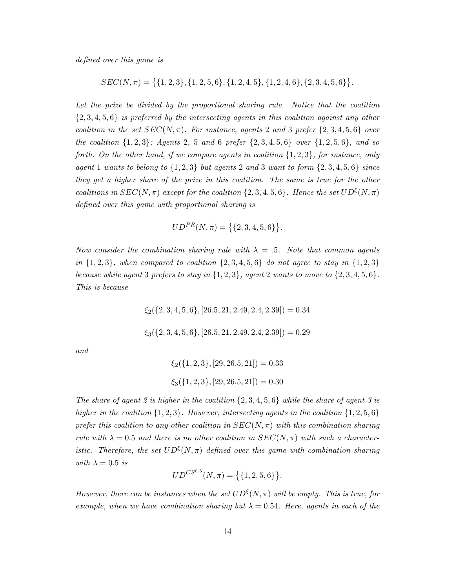defined over this game is

$$
SEC(N, \pi) = \{ \{1, 2, 3\}, \{1, 2, 5, 6\}, \{1, 2, 4, 5\}, \{1, 2, 4, 6\}, \{2, 3, 4, 5, 6\} \}.
$$

Let the prize be divided by the proportional sharing rule. Notice that the coalition  $\{2,3,4,5,6\}$  is preferred by the intersecting agents in this coalition against any other coalition in the set  $SEC(N, \pi)$ . For instance, agents 2 and 3 prefer  $\{2, 3, 4, 5, 6\}$  over the coalition  $\{1, 2, 3\}$ ; Agents 2, 5 and 6 prefer  $\{2, 3, 4, 5, 6\}$  over  $\{1, 2, 5, 6\}$ , and so forth. On the other hand, if we compare agents in coalition  $\{1, 2, 3\}$ , for instance, only agent 1 wants to belong to  $\{1,2,3\}$  but agents 2 and 3 want to form  $\{2,3,4,5,6\}$  since they get a higher share of the prize in this coalition. The same is true for the other coalitions in  $SEC(N, \pi)$  except for the coalition  $\{2, 3, 4, 5, 6\}$ . Hence the set  $UD^{\xi}(N, \pi)$ defined over this game with proportional sharing is

$$
UD^{PR}(N, \pi) = \{ \{2, 3, 4, 5, 6 \} \}.
$$

Now consider the combination sharing rule with  $\lambda = 0.5$ . Note that common agents in  $\{1, 2, 3\}$ , when compared to coalition  $\{2, 3, 4, 5, 6\}$  do not agree to stay in  $\{1, 2, 3\}$ because while agent 3 prefers to stay in  $\{1,2,3\}$ , agent 2 wants to move to  $\{2,3,4,5,6\}$ . This is because

 $\xi_2$ ({2, 3, 4, 5, 6}, [26.5, 21, 2.49, 2.4, 2.39]) = 0.34

 $\xi_3({2, 3, 4, 5, 6}, [26.5, 21, 2.49, 2.4, 2.39]) = 0.29$ 

and

$$
\xi_2(\{1, 2, 3\}, [29, 26.5, 21]) = 0.33
$$

$$
\xi_3(\{1, 2, 3\}, [29, 26.5, 21]) = 0.30
$$

The share of agent 2 is higher in the coalition  $\{2, 3, 4, 5, 6\}$  while the share of agent 3 is higher in the coalition  $\{1, 2, 3\}$ . However, intersecting agents in the coalition  $\{1, 2, 5, 6\}$ prefer this coalition to any other coalition in  $SEC(N, \pi)$  with this combination sharing rule with  $\lambda = 0.5$  and there is no other coalition in  $SEC(N, \pi)$  with such a characteristic. Therefore, the set  $UD^{\xi}(N,\pi)$  defined over this game with combination sharing with  $\lambda = 0.5$  is

$$
UD^{CS^{0.5}}(N, \pi) = \big\{ \{1, 2, 5, 6\} \big\}.
$$

However, there can be instances when the set  $UD^{\xi}(N,\pi)$  will be empty. This is true, for example, when we have combination sharing but  $\lambda = 0.54$ . Here, agents in each of the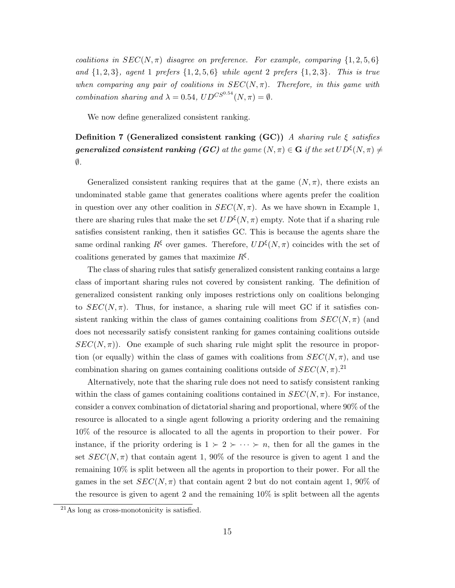coalitions in  $SEC(N, \pi)$  disagree on preference. For example, comparing  $\{1, 2, 5, 6\}$ and  $\{1, 2, 3\}$ , agent 1 prefers  $\{1, 2, 5, 6\}$  while agent 2 prefers  $\{1, 2, 3\}$ . This is true when comparing any pair of coalitions in  $SEC(N, \pi)$ . Therefore, in this game with combination sharing and  $\lambda = 0.54$ ,  $UD^{CS^{0.54}}(N, \pi) = \emptyset$ .

We now define generalized consistent ranking.

Definition 7 (Generalized consistent ranking (GC)) A sharing rule  $\xi$  satisfies  $\emph{generalized consistent ranking (GC)}$  at the game  $(N,\pi)\in\mathbf{G}$  if the set  $UD^{\xi}(N,\pi)\neq0$  $\emptyset$ .

Generalized consistent ranking requires that at the game  $(N, \pi)$ , there exists an undominated stable game that generates coalitions where agents prefer the coalition in question over any other coalition in  $SEC(N, \pi)$ . As we have shown in Example 1, there are sharing rules that make the set  $UD^{\xi}(N, \pi)$  empty. Note that if a sharing rule satisfies consistent ranking, then it satisfies GC. This is because the agents share the same ordinal ranking  $R^{\xi}$  over games. Therefore,  $UD^{\xi}(N, \pi)$  coincides with the set of coalitions generated by games that maximize  $R^{\xi}$ .

The class of sharing rules that satisfy generalized consistent ranking contains a large class of important sharing rules not covered by consistent ranking. The definition of generalized consistent ranking only imposes restrictions only on coalitions belonging to  $SEC(N, \pi)$ . Thus, for instance, a sharing rule will meet GC if it satisfies consistent ranking within the class of games containing coalitions from  $SEC(N, \pi)$  (and does not necessarily satisfy consistent ranking for games containing coalitions outside  $SEC(N, \pi))$ . One example of such sharing rule might split the resource in proportion (or equally) within the class of games with coalitions from  $SEC(N, \pi)$ , and use combination sharing on games containing coalitions outside of  $SEC(N, \pi)$ .<sup>21</sup>

Alternatively, note that the sharing rule does not need to satisfy consistent ranking within the class of games containing coalitions contained in  $SEC(N, \pi)$ . For instance, consider a convex combination of dictatorial sharing and proportional, where 90% of the resource is allocated to a single agent following a priority ordering and the remaining 10% of the resource is allocated to all the agents in proportion to their power. For instance, if the priority ordering is  $1 \succ 2 \succ \cdots \succ n$ , then for all the games in the set  $SEC(N, \pi)$  that contain agent 1, 90% of the resource is given to agent 1 and the remaining 10% is split between all the agents in proportion to their power. For all the games in the set  $SEC(N, \pi)$  that contain agent 2 but do not contain agent 1, 90% of the resource is given to agent 2 and the remaining 10% is split between all the agents

<sup>21</sup>As long as cross-monotonicity is satisfied.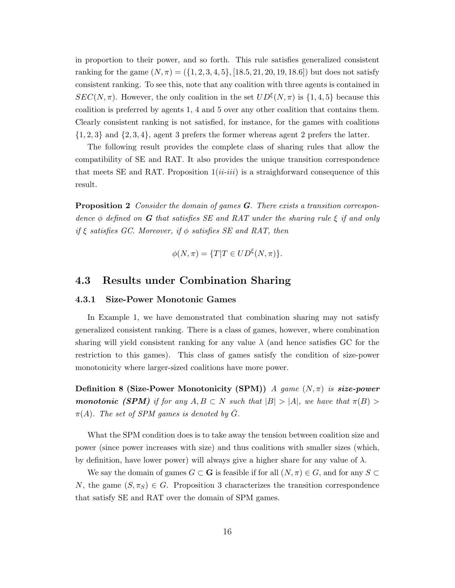in proportion to their power, and so forth. This rule satisfies generalized consistent ranking for the game  $(N, \pi) = (\{1, 2, 3, 4, 5\}, [18.5, 21, 20, 19, 18.6])$  but does not satisfy consistent ranking. To see this, note that any coalition with three agents is contained in  $SEC(N, \pi)$ . However, the only coalition in the set  $UD^{\xi}(N, \pi)$  is  $\{1, 4, 5\}$  because this coalition is preferred by agents 1, 4 and 5 over any other coalition that contains them. Clearly consistent ranking is not satisfied, for instance, for the games with coalitions  $\{1, 2, 3\}$  and  $\{2, 3, 4\}$ , agent 3 prefers the former whereas agent 2 prefers the latter.

The following result provides the complete class of sharing rules that allow the compatibility of SE and RAT. It also provides the unique transition correspondence that meets SE and RAT. Proposition  $1(i\ell-iii)$  is a straighforward consequence of this result.

**Proposition 2** Consider the domain of games  $\bf{G}$ . There exists a transition correspondence  $\phi$  defined on **G** that satisfies SE and RAT under the sharing rule  $\xi$  if and only if  $\xi$  satisfies GC. Moreover, if  $\phi$  satisfies SE and RAT, then

$$
\phi(N,\pi) = \{T|T \in UD^{\xi}(N,\pi)\}.
$$

#### 4.3 Results under Combination Sharing

#### 4.3.1 Size-Power Monotonic Games

In Example 1, we have demonstrated that combination sharing may not satisfy generalized consistent ranking. There is a class of games, however, where combination sharing will yield consistent ranking for any value  $\lambda$  (and hence satisfies GC for the restriction to this games). This class of games satisfy the condition of size-power monotonicity where larger-sized coalitions have more power.

Definition 8 (Size-Power Monotonicity (SPM)) A game  $(N,\pi)$  is size-power **monotonic (SPM)** if for any  $A, B \subset N$  such that  $|B| > |A|$ , we have that  $\pi(B) >$  $\pi(A)$ . The set of SPM games is denoted by G.

What the SPM condition does is to take away the tension between coalition size and power (since power increases with size) and thus coalitions with smaller sizes (which, by definition, have lower power) will always give a higher share for any value of  $\lambda$ .

We say the domain of games  $G \subset \mathbf{G}$  is feasible if for all  $(N, \pi) \in G$ , and for any  $S \subset \mathbf{G}$ N, the game  $(S, \pi_S) \in G$ . Proposition 3 characterizes the transition correspondence that satisfy SE and RAT over the domain of SPM games.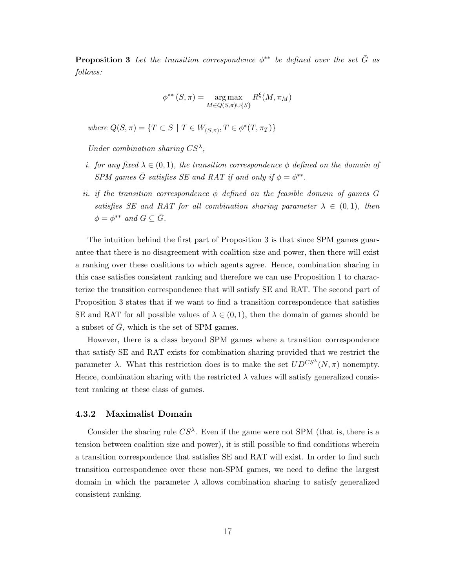**Proposition 3** Let the transition correspondence  $\phi^{**}$  be defined over the set  $\overline{G}$  as follows:

$$
\phi^{**}(S,\pi) = \underset{M \in Q(S,\pi) \cup \{S\}}{\arg \max} R^{\xi}(M,\pi_M)
$$

where  $Q(S,\pi) = \{T \subset S \mid T \in W_{(S,\pi)}, T \in \phi^*(T,\pi_T)\}\$ 

Under combination sharing  $CS^{\lambda}$ ,

- i. for any fixed  $\lambda \in (0,1)$ , the transition correspondence  $\phi$  defined on the domain of SPM games  $\bar{G}$  satisfies SE and RAT if and only if  $\phi = \phi^{**}$ .
- ii. if the transition correspondence  $\phi$  defined on the feasible domain of games G satisfies SE and RAT for all combination sharing parameter  $\lambda \in (0,1)$ , then  $\phi = \phi^{**}$  and  $G \subseteq \overline{G}$ .

The intuition behind the first part of Proposition 3 is that since SPM games guarantee that there is no disagreement with coalition size and power, then there will exist a ranking over these coalitions to which agents agree. Hence, combination sharing in this case satisfies consistent ranking and therefore we can use Proposition 1 to characterize the transition correspondence that will satisfy SE and RAT. The second part of Proposition 3 states that if we want to find a transition correspondence that satisfies SE and RAT for all possible values of  $\lambda \in (0,1)$ , then the domain of games should be a subset of  $G$ , which is the set of SPM games.

However, there is a class beyond SPM games where a transition correspondence that satisfy SE and RAT exists for combination sharing provided that we restrict the parameter  $\lambda$ . What this restriction does is to make the set  $U D^{CS^{\lambda}}(N, \pi)$  nonempty. Hence, combination sharing with the restricted  $\lambda$  values will satisfy generalized consistent ranking at these class of games.

#### 4.3.2 Maximalist Domain

Consider the sharing rule  $CS^{\lambda}$ . Even if the game were not SPM (that is, there is a tension between coalition size and power), it is still possible to find conditions wherein a transition correspondence that satisfies SE and RAT will exist. In order to find such transition correspondence over these non-SPM games, we need to define the largest domain in which the parameter  $\lambda$  allows combination sharing to satisfy generalized consistent ranking.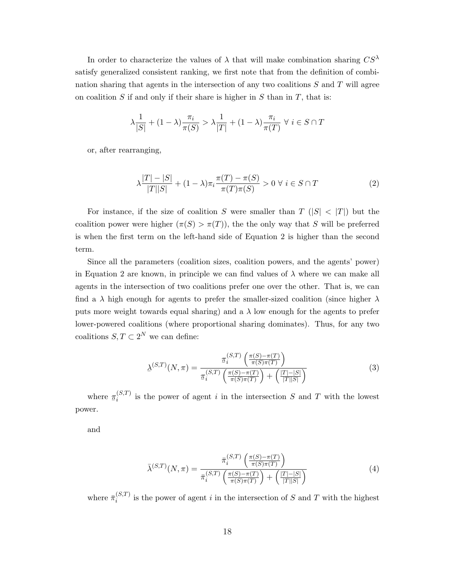In order to characterize the values of  $\lambda$  that will make combination sharing  $CS^{\lambda}$ satisfy generalized consistent ranking, we first note that from the definition of combination sharing that agents in the intersection of any two coalitions  $S$  and  $T$  will agree on coalition  $S$  if and only if their share is higher in  $S$  than in  $T$ , that is:

$$
\lambda \frac{1}{|S|} + (1 - \lambda) \frac{\pi_i}{\pi(S)} > \lambda \frac{1}{|T|} + (1 - \lambda) \frac{\pi_i}{\pi(T)} \ \forall \ i \in S \cap T
$$

or, after rearranging,

$$
\lambda \frac{|T| - |S|}{|T||S|} + (1 - \lambda)\pi_i \frac{\pi(T) - \pi(S)}{\pi(T)\pi(S)} > 0 \ \forall \ i \in S \cap T
$$
 (2)

For instance, if the size of coalition S were smaller than  $T(|S| < |T|)$  but the coalition power were higher  $(\pi(S) > \pi(T))$ , the the only way that S will be preferred is when the first term on the left-hand side of Equation 2 is higher than the second term.

Since all the parameters (coalition sizes, coalition powers, and the agents' power) in Equation 2 are known, in principle we can find values of  $\lambda$  where we can make all agents in the intersection of two coalitions prefer one over the other. That is, we can find a  $\lambda$  high enough for agents to prefer the smaller-sized coalition (since higher  $\lambda$ puts more weight towards equal sharing) and a  $\lambda$  low enough for the agents to prefer lower-powered coalitions (where proportional sharing dominates). Thus, for any two coalitions  $S, T \subset 2^N$  we can define:

$$
\underline{\lambda}^{(S,T)}(N,\pi) = \frac{\underline{\pi}_i^{(S,T)}\left(\frac{\pi(S)-\pi(T)}{\pi(S)\pi(T)}\right)}{\underline{\pi}_i^{(S,T)}\left(\frac{\pi(S)-\pi(T)}{\pi(S)\pi(T)}\right) + \left(\frac{|T|-|S|}{|T||S|}\right)}\tag{3}
$$

where  $\pi_i^{(S,T)}$  $i_j^{(S,1)}$  is the power of agent i in the intersection S and T with the lowest power.

and

$$
\bar{\lambda}^{(S,T)}(N,\pi) = \frac{\bar{\pi}_i^{(S,T)}\left(\frac{\pi(S)-\pi(T)}{\pi(S)\pi(T)}\right)}{\bar{\pi}_i^{(S,T)}\left(\frac{\pi(S)-\pi(T)}{\pi(S)\pi(T)}\right) + \left(\frac{|T|-|S|}{|T||S|}\right)}\tag{4}
$$

where  $\bar{\pi}_i^{(S,T)}$  $i_j^{(S,I)}$  is the power of agent i in the intersection of S and T with the highest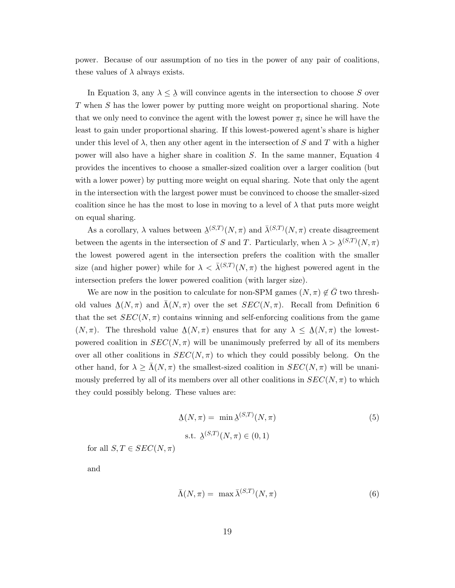power. Because of our assumption of no ties in the power of any pair of coalitions, these values of  $\lambda$  always exists.

In Equation 3, any  $\lambda \leq \lambda$  will convince agents in the intersection to choose S over T when S has the lower power by putting more weight on proportional sharing. Note that we only need to convince the agent with the lowest power  $\pi_i$  since he will have the least to gain under proportional sharing. If this lowest-powered agent's share is higher under this level of  $\lambda$ , then any other agent in the intersection of S and T with a higher power will also have a higher share in coalition S. In the same manner, Equation 4 provides the incentives to choose a smaller-sized coalition over a larger coalition (but with a lower power) by putting more weight on equal sharing. Note that only the agent in the intersection with the largest power must be convinced to choose the smaller-sized coalition since he has the most to lose in moving to a level of  $\lambda$  that puts more weight on equal sharing.

As a corollary,  $\lambda$  values between  $\lambda^{(S,T)}(N,\pi)$  and  $\bar{\lambda}^{(S,T)}(N,\pi)$  create disagreement between the agents in the intersection of S and T. Particularly, when  $\lambda > \lambda^{(S,T)}(N, \pi)$ the lowest powered agent in the intersection prefers the coalition with the smaller size (and higher power) while for  $\lambda < \bar{\lambda}^{(S,T)}(N,\pi)$  the highest powered agent in the intersection prefers the lower powered coalition (with larger size).

We are now in the position to calculate for non-SPM games  $(N, \pi) \notin G$  two threshold values  $\Delta(N, \pi)$  and  $\bar{\Lambda}(N, \pi)$  over the set  $SEC(N, \pi)$ . Recall from Definition 6 that the set  $SEC(N, \pi)$  contains winning and self-enforcing coalitions from the game  $(N, \pi)$ . The threshold value  $\Delta(N, \pi)$  ensures that for any  $\lambda \leq \Delta(N, \pi)$  the lowestpowered coalition in  $SEC(N, \pi)$  will be unanimously preferred by all of its members over all other coalitions in  $SEC(N, \pi)$  to which they could possibly belong. On the other hand, for  $\lambda \geq \Lambda(N, \pi)$  the smallest-sized coalition in  $SEC(N, \pi)$  will be unanimously preferred by all of its members over all other coalitions in  $SEC(N, \pi)$  to which they could possibly belong. These values are:

$$
\Delta(N,\pi) = \min \Delta^{(S,T)}(N,\pi)
$$
\n
$$
\text{s.t. } \Delta^{(S,T)}(N,\pi) \in (0,1)
$$
\n(5)

for all  $S, T \in SEC(N, \pi)$ 

and

$$
\bar{\Lambda}(N,\pi) = \max \bar{\lambda}^{(S,T)}(N,\pi) \tag{6}
$$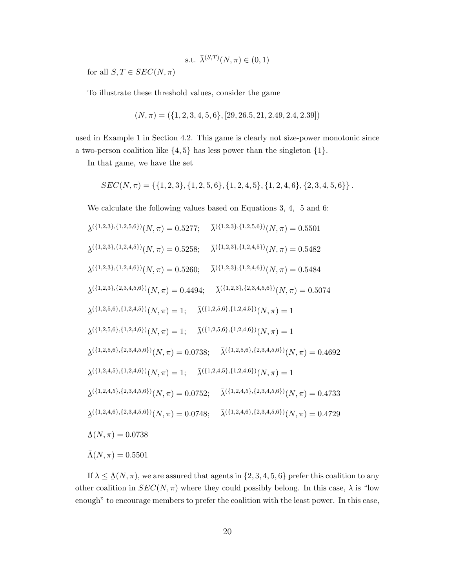s.t. 
$$
\bar{\lambda}^{(S,T)}(N,\pi) \in (0,1)
$$

for all  $S, T \in SEC(N, \pi)$ 

To illustrate these threshold values, consider the game

$$
(N, \pi) = (\{1, 2, 3, 4, 5, 6\}, [29, 26.5, 21, 2.49, 2.4, 2.39])
$$

used in Example 1 in Section 4.2. This game is clearly not size-power monotonic since a two-person coalition like  $\{4, 5\}$  has less power than the singleton  $\{1\}$ .

In that game, we have the set

$$
SEC(N, \pi) = \{ \{1, 2, 3\}, \{1, 2, 5, 6\}, \{1, 2, 4, 5\}, \{1, 2, 4, 6\}, \{2, 3, 4, 5, 6\} \}.
$$

We calculate the following values based on Equations 3, 4, 5 and 6:

$$
\lambda^{(\{1,2,3\},\{1,2,5,6\})}(N,\pi) = 0.5277; \quad \bar{\lambda}^{(\{1,2,3\},\{1,2,5,6\})}(N,\pi) = 0.5501
$$
\n
$$
\lambda^{(\{1,2,3\},\{1,2,4,5\})}(N,\pi) = 0.5258; \quad \bar{\lambda}^{(\{1,2,3\},\{1,2,4,5\})}(N,\pi) = 0.5482
$$
\n
$$
\lambda^{(\{1,2,3\},\{1,2,4,6\})}(N,\pi) = 0.5260; \quad \bar{\lambda}^{(\{1,2,3\},\{1,2,4,6\})}(N,\pi) = 0.5484
$$
\n
$$
\lambda^{(\{1,2,3\},\{2,3,4,5,6\})}(N,\pi) = 0.4494; \quad \bar{\lambda}^{(\{1,2,3\},\{2,3,4,5,6\})}(N,\pi) = 0.5074
$$
\n
$$
\lambda^{(\{1,2,5,6\},\{1,2,4,5\})}(N,\pi) = 1; \quad \bar{\lambda}^{(\{1,2,5,6\},\{1,2,4,5\})}(N,\pi) = 1
$$
\n
$$
\lambda^{(\{1,2,5,6\},\{1,2,4,6\})}(N,\pi) = 1; \quad \bar{\lambda}^{(\{1,2,5,6\},\{1,2,4,6\})}(N,\pi) = 1
$$
\n
$$
\lambda^{(\{1,2,5,6\},\{2,3,4,5,6\})}(N,\pi) = 0.0738; \quad \bar{\lambda}^{(\{1,2,5,6\},\{2,3,4,5,6\})}(N,\pi) = 0.4692
$$
\n
$$
\lambda^{(\{1,2,4,5\},\{1,2,4,6\})}(N,\pi) = 1; \quad \bar{\lambda}^{(\{1,2,4,5\},\{1,2,4,6\})}(N,\pi) = 1
$$
\n
$$
\lambda^{(\{1,2,4,5\},\{2,3,4,5,6\})}(N,\pi) = 0.0752; \quad \bar{\lambda}^{(\{1,2,4,5\},\{2,3,4,5,
$$

If  $\lambda \leq \Lambda(N, \pi)$ , we are assured that agents in  $\{2, 3, 4, 5, 6\}$  prefer this coalition to any other coalition in  $SEC(N, \pi)$  where they could possibly belong. In this case,  $\lambda$  is "low enough" to encourage members to prefer the coalition with the least power. In this case,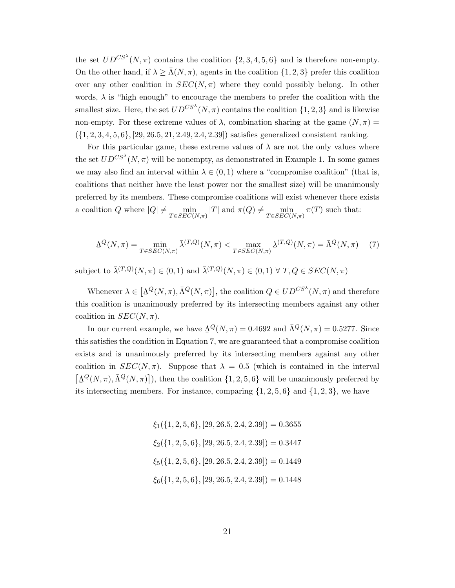the set  $UD^{CS^{\lambda}}(N,\pi)$  contains the coalition  $\{2,3,4,5,6\}$  and is therefore non-empty. On the other hand, if  $\lambda \geq \bar{\Lambda}(N, \pi)$ , agents in the coalition  $\{1, 2, 3\}$  prefer this coalition over any other coalition in  $SEC(N, \pi)$  where they could possibly belong. In other words,  $\lambda$  is "high enough" to encourage the members to prefer the coalition with the smallest size. Here, the set  $UD^{CS^{\lambda}}(N, \pi)$  contains the coalition  $\{1, 2, 3\}$  and is likewise non-empty. For these extreme values of  $\lambda$ , combination sharing at the game  $(N, \pi)$  $({1, 2, 3, 4, 5, 6}, [29, 26.5, 21, 2.49, 2.4, 2.39])$  satisfies generalized consistent ranking.

For this particular game, these extreme values of  $\lambda$  are not the only values where the set  $U D^{CS^{\lambda}}(N, \pi)$  will be nonempty, as demonstrated in Example 1. In some games we may also find an interval within  $\lambda \in (0,1)$  where a "compromise coalition" (that is, coalitions that neither have the least power nor the smallest size) will be unanimously preferred by its members. These compromise coalitions will exist whenever there exists a coalition Q where  $|Q| \neq \min_{T \in SEC(N,\pi)} |T|$  and  $\pi(Q) \neq \min_{T \in SEC(N,\pi)} \pi(T)$  such that:

$$
\underline{\Lambda}^Q(N,\pi) = \min_{T \in SEC(N,\pi)} \overline{\lambda}^{(T,Q)}(N,\pi) < \max_{T \in SEC(N,\pi)} \underline{\lambda}^{(T,Q)}(N,\pi) = \overline{\Lambda}^Q(N,\pi) \tag{7}
$$

subject to  $\bar{\lambda}^{(T,Q)}(N,\pi) \in (0,1)$  and  $\bar{\lambda}^{(T,Q)}(N,\pi) \in (0,1) \ \forall \ T, Q \in SEC(N,\pi)$ 

Whenever  $\lambda \in \left[\Delta^Q(N,\pi), \bar{\Lambda}^Q(N,\pi)\right]$ , the coalition  $Q \in U D^{CS^{\lambda}}(N,\pi)$  and therefore this coalition is unanimously preferred by its intersecting members against any other coalition in  $SEC(N, \pi)$ .

In our current example, we have  $\Delta^Q(N,\pi) = 0.4692$  and  $\bar{\Lambda}^Q(N,\pi) = 0.5277$ . Since this satisfies the condition in Equation 7, we are guaranteed that a compromise coalition exists and is unanimously preferred by its intersecting members against any other coalition in  $SEC(N, \pi)$ . Suppose that  $\lambda = 0.5$  (which is contained in the interval  $[\Delta^Q(N,\pi), \bar{\Lambda}^Q(N,\pi)]$ , then the coalition  $\{1, 2, 5, 6\}$  will be unanimously preferred by its intersecting members. For instance, comparing  $\{1, 2, 5, 6\}$  and  $\{1, 2, 3\}$ , we have

> $\xi_1({1, 2, 5, 6}, [29, 26.5, 2.4, 2.39]) = 0.3655$  $\xi_2$ ({1, 2, 5, 6}, [29, 26.5, 2.4, 2.39]) = 0.3447  $\xi_5({1, 2, 5, 6}, [29, 26.5, 2.4, 2.39]) = 0.1449$  $\xi_6({1, 2, 5, 6}, [29, 26.5, 2.4, 2.39]) = 0.1448$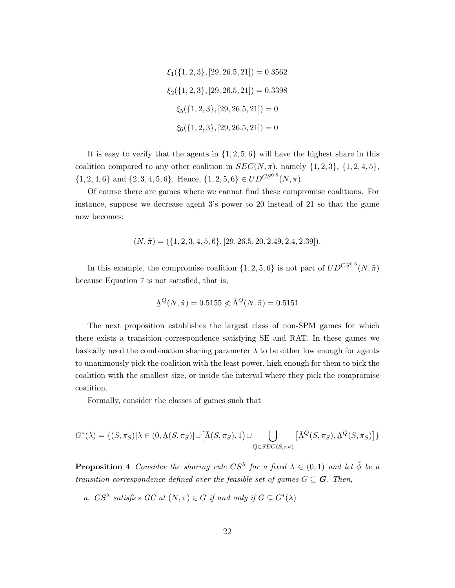$$
\xi_1(\{1, 2, 3\}, [29, 26.5, 21]) = 0.3562
$$

$$
\xi_2(\{1, 2, 3\}, [29, 26.5, 21]) = 0.3398
$$

$$
\xi_5(\{1, 2, 3\}, [29, 26.5, 21]) = 0
$$

$$
\xi_6(\{1, 2, 3\}, [29, 26.5, 21]) = 0
$$

It is easy to verify that the agents in  $\{1, 2, 5, 6\}$  will have the highest share in this coalition compared to any other coalition in  $SEC(N, \pi)$ , namely  $\{1, 2, 3\}, \{1, 2, 4, 5\}$ ,  $\{1, 2, 4, 6\}$  and  $\{2, 3, 4, 5, 6\}$ . Hence,  $\{1, 2, 5, 6\} \in UD^{CS^{0.5}}(N, \pi)$ .

Of course there are games where we cannot find these compromise coalitions. For instance, suppose we decrease agent 3's power to 20 instead of 21 so that the game now becomes:

$$
(N, \tilde{\pi}) = (\{1, 2, 3, 4, 5, 6\}, [29, 26.5, 20, 2.49, 2.4, 2.39]).
$$

In this example, the compromise coalition  $\{1, 2, 5, 6\}$  is not part of  $U D^{CS^{0.5}}(N, \tilde{\pi})$ because Equation 7 is not satisfied, that is,

$$
\Delta^Q(N,\tilde{\pi}) = 0.5155 \nless \bar{\Lambda}^Q(N,\tilde{\pi}) = 0.5151
$$

The next proposition establishes the largest class of non-SPM games for which there exists a transition correspondence satisfying SE and RAT. In these games we basically need the combination sharing parameter  $\lambda$  to be either low enough for agents to unanimously pick the coalition with the least power, high enough for them to pick the coalition with the smallest size, or inside the interval where they pick the compromise coalition.

Formally, consider the classes of games such that

$$
G^*(\lambda) = \{ (S, \pi_S) | \lambda \in (0, \Delta(S, \pi_S)] \cup [\bar{\Lambda}(S, \pi_S), 1) \cup \bigcup_{Q \in SEC(S, \pi_S)} [\bar{\Lambda}^Q(S, \pi_S), \Delta^Q(S, \pi_S)] \}
$$

**Proposition 4** Consider the sharing rule  $CS^{\lambda}$  for a fixed  $\lambda \in (0,1)$  and let  $\check{\phi}$  be a transition correspondence defined over the feasible set of games  $G \subseteq \mathbf{G}$ . Then,

a.  $CS^{\lambda}$  satisfies  $GC$  at  $(N, \pi) \in G$  if and only if  $G \subseteq G^*(\lambda)$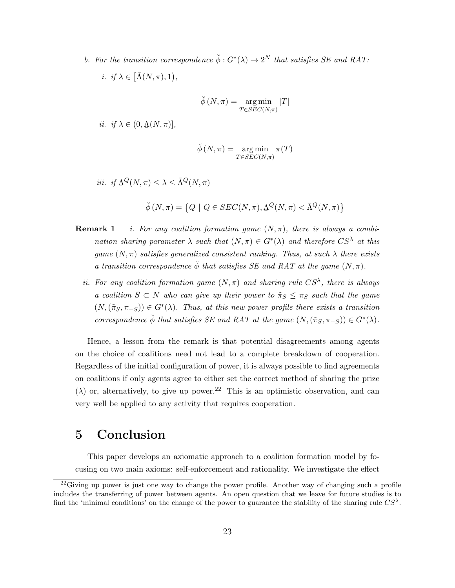b. For the transition correspondence  $\check{\phi}: G^*(\lambda) \to 2^N$  that satisfies SE and RAT: *i. if*  $\lambda \in [\bar{\Lambda}(N,\pi),1),$ 

$$
\breve{\phi}(N,\pi) = \underset{T \in SEC(N,\pi)}{\arg \min} |T|
$$

*ii. if*  $\lambda \in (0, \underline{\Lambda}(N, \pi)),$ 

$$
\breve{\phi}(N,\pi) = \argmin_{T \in SEC(N,\pi)} \pi(T)
$$

*iii.* if  $\Delta^Q(N,\pi) \leq \lambda \leq \bar{\Lambda}^Q(N,\pi)$ 

$$
\check{\phi}(N,\pi) = \left\{ Q \mid Q \in SEC(N,\pi), \underline{\Lambda}^Q(N,\pi) < \overline{\Lambda}^Q(N,\pi) \right\}
$$

- **Remark 1** i. For any coalition formation game  $(N, \pi)$ , there is always a combination sharing parameter  $\lambda$  such that  $(N, \pi) \in G^*(\lambda)$  and therefore  $CS^{\lambda}$  at this game  $(N, \pi)$  satisfies generalized consistent ranking. Thus, at such  $\lambda$  there exists a transition correspondence  $\phi$  that satisfies SE and RAT at the game  $(N, \pi)$ .
	- ii. For any coalition formation game  $(N, \pi)$  and sharing rule  $CS^{\lambda}$ , there is always a coalition  $S \subset N$  who can give up their power to  $\tilde{\pi}_S \leq \pi_S$  such that the game  $(N,(\tilde{\pi}_S, \pi_{-S})) \in G^*(\lambda)$ . Thus, at this new power profile there exists a transition correspondence  $\check{\phi}$  that satisfies SE and RAT at the game  $(N,(\tilde{\pi}_S, \pi_{-S})) \in G^*(\lambda)$ .

Hence, a lesson from the remark is that potential disagreements among agents on the choice of coalitions need not lead to a complete breakdown of cooperation. Regardless of the initial configuration of power, it is always possible to find agreements on coalitions if only agents agree to either set the correct method of sharing the prize ( $\lambda$ ) or, alternatively, to give up power.<sup>22</sup> This is an optimistic observation, and can very well be applied to any activity that requires cooperation.

### 5 Conclusion

This paper develops an axiomatic approach to a coalition formation model by focusing on two main axioms: self-enforcement and rationality. We investigate the effect

 $^{22}$ Giving up power is just one way to change the power profile. Another way of changing such a profile includes the transferring of power between agents. An open question that we leave for future studies is to find the 'minimal conditions' on the change of the power to guarantee the stability of the sharing rule  $CS^{\lambda}$ .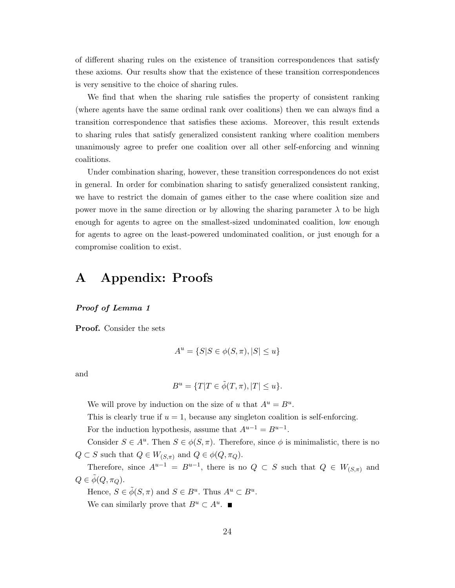of different sharing rules on the existence of transition correspondences that satisfy these axioms. Our results show that the existence of these transition correspondences is very sensitive to the choice of sharing rules.

We find that when the sharing rule satisfies the property of consistent ranking (where agents have the same ordinal rank over coalitions) then we can always find a transition correspondence that satisfies these axioms. Moreover, this result extends to sharing rules that satisfy generalized consistent ranking where coalition members unanimously agree to prefer one coalition over all other self-enforcing and winning coalitions.

Under combination sharing, however, these transition correspondences do not exist in general. In order for combination sharing to satisfy generalized consistent ranking, we have to restrict the domain of games either to the case where coalition size and power move in the same direction or by allowing the sharing parameter  $\lambda$  to be high enough for agents to agree on the smallest-sized undominated coalition, low enough for agents to agree on the least-powered undominated coalition, or just enough for a compromise coalition to exist.

### A Appendix: Proofs

#### Proof of Lemma 1

Proof. Consider the sets

$$
A^{u} = \{ S | S \in \phi(S, \pi), |S| \le u \}
$$

and

$$
B^u = \{T|T \in \tilde{\phi}(T,\pi), |T| \le u\}.
$$

We will prove by induction on the size of u that  $A^u = B^u$ .

This is clearly true if  $u = 1$ , because any singleton coalition is self-enforcing.

For the induction hypothesis, assume that  $A^{u-1} = B^{u-1}$ .

Consider  $S \in A^u$ . Then  $S \in \phi(S, \pi)$ . Therefore, since  $\phi$  is minimalistic, there is no  $Q \subset S$  such that  $Q \in W_{(S,\pi)}$  and  $Q \in \phi(Q, \pi_Q)$ .

Therefore, since  $A^{u-1} = B^{u-1}$ , there is no  $Q \subset S$  such that  $Q \in W_{(S,\pi)}$  and  $Q \in \phi(Q, \pi_Q)$ .

Hence,  $S \in \tilde{\phi}(S, \pi)$  and  $S \in B^u$ . Thus  $A^u \subset B^u$ . We can similarly prove that  $B^u \subset A^u$ .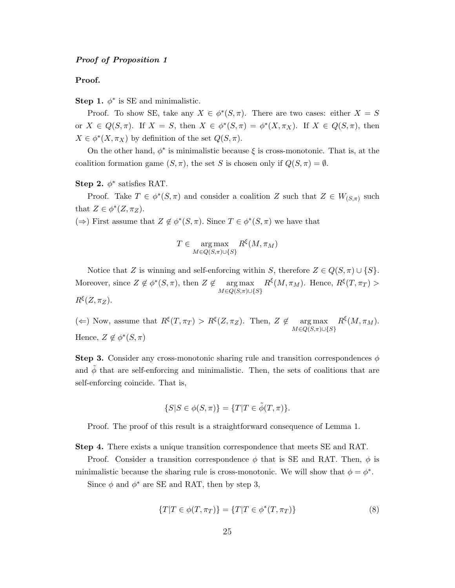#### Proof of Proposition 1

#### Proof.

Step 1.  $\phi^*$  is SE and minimalistic.

Proof. To show SE, take any  $X \in \phi^*(S, \pi)$ . There are two cases: either  $X = S$ or  $X \in Q(S, \pi)$ . If  $X = S$ , then  $X \in \phi^*(S, \pi) = \phi^*(X, \pi_X)$ . If  $X \in Q(S, \pi)$ , then  $X \in \phi^*(X, \pi_X)$  by definition of the set  $Q(S, \pi)$ .

On the other hand,  $\phi^*$  is minimalistic because  $\xi$  is cross-monotonic. That is, at the coalition formation game  $(S, \pi)$ , the set S is chosen only if  $Q(S, \pi) = \emptyset$ .

Step 2.  $\phi^*$  satisfies RAT.

Proof. Take  $T \in \phi^*(S, \pi)$  and consider a coalition Z such that  $Z \in W_{(S,\pi)}$  such that  $Z \in \phi^*(Z, \pi_Z)$ .

(⇒) First assume that  $Z \notin \phi^*(S, \pi)$ . Since  $T \in \phi^*(S, \pi)$  we have that

$$
T \in \underset{M \in Q(S,\pi) \cup \{S\}}{\arg \max} R^{\xi}(M,\pi_M)
$$

Notice that Z is winning and self-enforcing within S, therefore  $Z \in Q(S, \pi) \cup \{S\}$ . Moreover, since  $Z \notin \phi^*(S, \pi)$ , then  $Z \notin \text{arg}\max$  $M \in Q(S, \pi) \cup \{S\}$  $R^{\xi}(M, \pi_M)$ . Hence,  $R^{\xi}(T, \pi_T)$  $R^{\xi}(Z,\pi_Z).$ 

( $\Leftarrow$ ) Now, assume that  $R^{\xi}(T, \pi_T) > R^{\xi}(Z, \pi_Z)$ . Then,  $Z \notin \text{arg max}$  $M \in Q(S, \pi) \cup \{S\}$  $R^{\xi}(M,\pi_M).$ Hence,  $Z \notin \phi^*(S, \pi)$ 

**Step 3.** Consider any cross-monotonic sharing rule and transition correspondences  $\phi$ and  $\phi$  that are self-enforcing and minimalistic. Then, the sets of coalitions that are self-enforcing coincide. That is,

$$
\{S|S \in \phi(S,\pi)\} = \{T|T \in \tilde{\phi}(T,\pi)\}.
$$

Proof. The proof of this result is a straightforward consequence of Lemma 1.

Step 4. There exists a unique transition correspondence that meets SE and RAT.

Proof. Consider a transition correspondence  $\phi$  that is SE and RAT. Then,  $\phi$  is minimalistic because the sharing rule is cross-monotonic. We will show that  $\phi = \phi^*$ .

Since  $\phi$  and  $\phi^*$  are SE and RAT, then by step 3,

$$
\{T|T \in \phi(T, \pi_T)\} = \{T|T \in \phi^*(T, \pi_T)\}\tag{8}
$$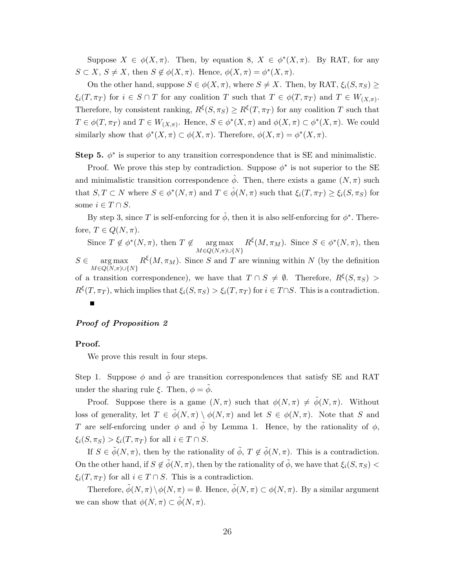Suppose  $X \in \phi(X, \pi)$ . Then, by equation 8,  $X \in \phi^*(X, \pi)$ . By RAT, for any  $S \subset X, S \neq X$ , then  $S \notin \phi(X, \pi)$ . Hence,  $\phi(X, \pi) = \phi^*(X, \pi)$ .

On the other hand, suppose  $S \in \phi(X, \pi)$ , where  $S \neq X$ . Then, by RAT,  $\xi_i(S, \pi_S) \geq$  $\xi_i(T, \pi_T)$  for  $i \in S \cap T$  for any coalition T such that  $T \in \phi(T, \pi_T)$  and  $T \in W_{(X,\pi)}$ . Therefore, by consistent ranking,  $R^{\xi}(S, \pi_S) \geq R^{\xi}(T, \pi_T)$  for any coalition T such that  $T \in \phi(T, \pi_T)$  and  $T \in W_{(X,\pi)}$ . Hence,  $S \in \phi^*(X,\pi)$  and  $\phi(X,\pi) \subset \phi^*(X,\pi)$ . We could similarly show that  $\phi^*(X, \pi) \subset \phi(X, \pi)$ . Therefore,  $\phi(X, \pi) = \phi^*(X, \pi)$ .

Step 5.  $\phi^*$  is superior to any transition correspondence that is SE and minimalistic.

Proof. We prove this step by contradiction. Suppose  $\phi^*$  is not superior to the SE and minimalistic transition correspondence  $\hat{\phi}$ . Then, there exists a game  $(N, \pi)$  such that  $S, T \subset N$  where  $S \in \phi^*(N, \pi)$  and  $T \in \hat{\phi}(N, \pi)$  such that  $\xi_i(T, \pi_T) \geq \xi_i(S, \pi_S)$  for some  $i \in T \cap S$ .

By step 3, since T is self-enforcing for  $\hat{\phi}$ , then it is also self-enforcing for  $\phi^*$ . Therefore,  $T \in Q(N, \pi)$ .

Since  $T \notin \phi^*(N, \pi)$ , then  $T \notin \text{arg max}$  $R^{\xi}(M, \pi_M)$ . Since  $S \in \phi^*(N, \pi)$ , then  $M \in Q(N,\pi) \cup \{N\}$  $S \in \text{arg max}$   $R^{\xi}(M, \pi_M)$ . Since S and T are winning within N (by the definition  $M \in \overline{Q(N,\pi)} \cup \{N\}$ of a transition correspondence), we have that  $T \cap S \neq \emptyset$ . Therefore,  $R^{\xi}(S, \pi_S)$  $R^{\xi}(T,\pi_T)$ , which implies that  $\xi_i(S,\pi_S) > \xi_i(T,\pi_T)$  for  $i \in T \cap S$ . This is a contradiction.  $\blacksquare$ 

#### Proof of Proposition 2

#### Proof.

We prove this result in four steps.

Step 1. Suppose  $\phi$  and  $\tilde{\phi}$  are transition correspondences that satisfy SE and RAT under the sharing rule  $\xi$ . Then,  $\phi = \tilde{\phi}$ .

Proof. Suppose there is a game  $(N, \pi)$  such that  $\phi(N, \pi) \neq \tilde{\phi}(N, \pi)$ . Without loss of generality, let  $T \in \tilde{\phi}(N, \pi) \setminus \phi(N, \pi)$  and let  $S \in \phi(N, \pi)$ . Note that S and T are self-enforcing under  $\phi$  and  $\tilde{\phi}$  by Lemma 1. Hence, by the rationality of  $\phi$ ,  $\xi_i(S, \pi_S) > \xi_i(T, \pi_T)$  for all  $i \in T \cap S$ .

If  $S \in \tilde{\phi}(N, \pi)$ , then by the rationality of  $\tilde{\phi}$ ,  $T \notin \tilde{\phi}(N, \pi)$ . This is a contradiction. On the other hand, if  $S \notin \tilde{\phi}(N, \pi)$ , then by the rationality of  $\tilde{\phi}$ , we have that  $\xi_i(S, \pi_S)$  $\xi_i(T, \pi_T)$  for all  $i \in T \cap S$ . This is a contradiction.

Therefore,  $\tilde{\phi}(N,\pi) \backslash \phi(N,\pi) = \emptyset$ . Hence,  $\tilde{\phi}(N,\pi) \subset \phi(N,\pi)$ . By a similar argument we can show that  $\phi(N,\pi) \subset \tilde{\phi}(N,\pi)$ .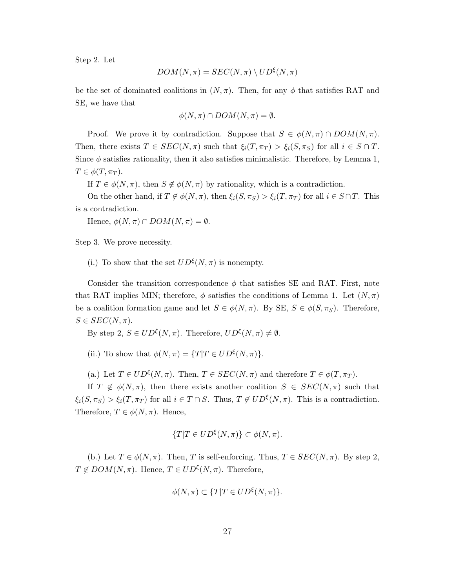Step 2. Let

$$
DOM(N,\pi)=SEC(N,\pi)\setminus UD^{\xi}(N,\pi)
$$

be the set of dominated coalitions in  $(N, \pi)$ . Then, for any  $\phi$  that satisfies RAT and SE, we have that

$$
\phi(N,\pi) \cap DOM(N,\pi)=\emptyset.
$$

Proof. We prove it by contradiction. Suppose that  $S \in \phi(N, \pi) \cap DOM(N, \pi)$ . Then, there exists  $T \in SEC(N, \pi)$  such that  $\xi_i(T, \pi_T) > \xi_i(S, \pi_S)$  for all  $i \in S \cap T$ . Since  $\phi$  satisfies rationality, then it also satisfies minimalistic. Therefore, by Lemma 1,  $T \in \phi(T, \pi_T)$ .

If  $T \in \phi(N, \pi)$ , then  $S \notin \phi(N, \pi)$  by rationality, which is a contradiction.

On the other hand, if  $T \notin \phi(N, \pi)$ , then  $\xi_i(S, \pi_S) > \xi_i(T, \pi_T)$  for all  $i \in S \cap T$ . This is a contradiction.

Hence,  $\phi(N,\pi) \cap DOM(N,\pi) = \emptyset$ .

Step 3. We prove necessity.

(i.) To show that the set  $UD^{\xi}(N,\pi)$  is nonempty.

Consider the transition correspondence  $\phi$  that satisfies SE and RAT. First, note that RAT implies MIN; therefore,  $\phi$  satisfies the conditions of Lemma 1. Let  $(N,\pi)$ be a coalition formation game and let  $S \in \phi(N, \pi)$ . By SE,  $S \in \phi(S, \pi_S)$ . Therefore,  $S \in SEC(N, \pi)$ .

By step 2,  $S \in UD^{\xi}(N, \pi)$ . Therefore,  $UD^{\xi}(N, \pi) \neq \emptyset$ .

(ii.) To show that  $\phi(N,\pi) = \{T|T \in UD^{\xi}(N,\pi)\}.$ 

(a.) Let  $T \in UD^{\xi}(N, \pi)$ . Then,  $T \in SEC(N, \pi)$  and therefore  $T \in \phi(T, \pi_T)$ .

If  $T \notin \phi(N, \pi)$ , then there exists another coalition  $S \in SEC(N, \pi)$  such that  $\xi_i(S, \pi_S) > \xi_i(T, \pi_T)$  for all  $i \in T \cap S$ . Thus,  $T \notin UD^{\xi}(N, \pi)$ . This is a contradiction. Therefore,  $T \in \phi(N, \pi)$ . Hence,

$$
\{T|T\in UD^{\xi}(N,\pi)\}\subset \phi(N,\pi).
$$

(b.) Let  $T \in \phi(N, \pi)$ . Then, T is self-enforcing. Thus,  $T \in SEC(N, \pi)$ . By step 2,  $T \notin DOM(N,\pi)$ . Hence,  $T \in UD^{\xi}(N,\pi)$ . Therefore,

$$
\phi(N,\pi) \subset \{T|T \in UD^{\xi}(N,\pi)\}.
$$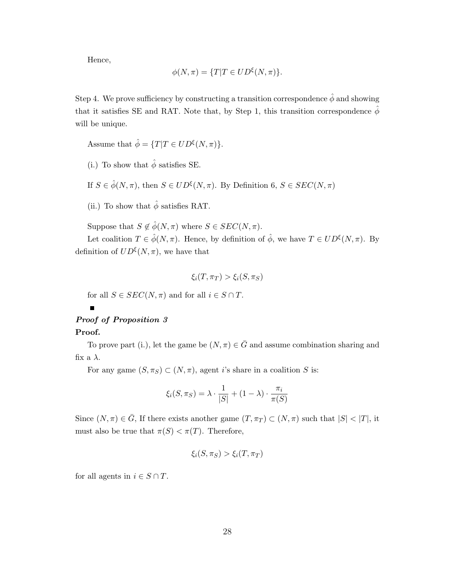Hence,

$$
\phi(N,\pi) = \{T|T \in UD^{\xi}(N,\pi)\}.
$$

Step 4. We prove sufficiency by constructing a transition correspondence  $\hat{\phi}$  and showing that it satisfies SE and RAT. Note that, by Step 1, this transition correspondence  $\hat{\phi}$ will be unique.

Assume that  $\hat{\phi} = \{T | T \in UD^{\xi}(N, \pi)\}.$ 

- (i.) To show that  $\hat{\phi}$  satisfies SE.
- If  $S \in \hat{\phi}(N, \pi)$ , then  $S \in U D^{\xi}(N, \pi)$ . By Definition  $\theta, S \in SEC(N, \pi)$
- (ii.) To show that  $\hat{\phi}$  satisfies RAT.

Suppose that  $S \notin \hat{\phi}(N, \pi)$  where  $S \in SEC(N, \pi)$ .

Let coalition  $T \in \hat{\phi}(N, \pi)$ . Hence, by definition of  $\hat{\phi}$ , we have  $T \in UD^{\xi}(N, \pi)$ . By definition of  $UD^{\xi}(N,\pi)$ , we have that

$$
\xi_i(T, \pi_T) > \xi_i(S, \pi_S)
$$

for all  $S \in SEC(N, \pi)$  and for all  $i \in S \cap T$ .

### Proof of Proposition 3

#### Proof.

To prove part (i.), let the game be  $(N, \pi) \in \overline{G}$  and assume combination sharing and fix a  $\lambda$ .

For any game  $(S, \pi_S) \subset (N, \pi)$ , agent *i*'s share in a coalition *S* is:

$$
\xi_i(S, \pi_S) = \lambda \cdot \frac{1}{|S|} + (1 - \lambda) \cdot \frac{\pi_i}{\pi(S)}
$$

Since  $(N, \pi) \in \bar{G}$ , If there exists another game  $(T, \pi_T) \subset (N, \pi)$  such that  $|S| < |T|$ , it must also be true that  $\pi(S) < \pi(T)$ . Therefore,

$$
\xi_i(S, \pi_S) > \xi_i(T, \pi_T)
$$

for all agents in  $i \in S \cap T$ .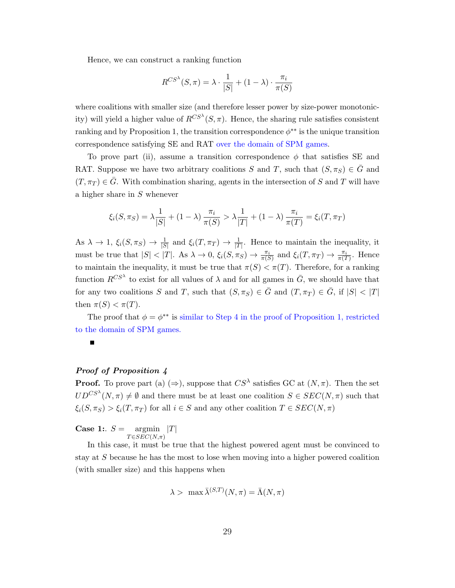Hence, we can construct a ranking function

$$
R^{CS^{\lambda}}(S,\pi) = \lambda \cdot \frac{1}{|S|} + (1-\lambda) \cdot \frac{\pi_i}{\pi(S)}
$$

where coalitions with smaller size (and therefore lesser power by size-power monotonicity) will yield a higher value of  $R^{CS^{\lambda}}(S,\pi)$ . Hence, the sharing rule satisfies consistent ranking and by Proposition 1, the transition correspondence  $\phi^{**}$  is the unique transition correspondence satisfying SE and RAT over the domain of SPM games.

To prove part (ii), assume a transition correspondence  $\phi$  that satisfies SE and RAT. Suppose we have two arbitrary coalitions S and T, such that  $(S, \pi_S) \in \overline{G}$  and  $(T, \pi_T) \in \overline{G}$ . With combination sharing, agents in the intersection of S and T will have a higher share in S whenever

$$
\xi_i(S, \pi_S) = \lambda \frac{1}{|S|} + (1 - \lambda) \frac{\pi_i}{\pi(S)} > \lambda \frac{1}{|T|} + (1 - \lambda) \frac{\pi_i}{\pi(T)} = \xi_i(T, \pi_T)
$$

As  $\lambda \to 1$ ,  $\xi_i(S, \pi_S) \to \frac{1}{|S|}$  and  $\xi_i(T, \pi_T) \to \frac{1}{|T|}$ . Hence to maintain the inequality, it must be true that  $|S| < |T|$ . As  $\lambda \to 0$ ,  $\xi_i(S, \pi_S) \to \frac{\pi_i}{\pi(S)}$  and  $\xi_i(T, \pi_T) \to \frac{\pi_i}{\pi(T)}$ . Hence to maintain the inequality, it must be true that  $\pi(S) < \pi(T)$ . Therefore, for a ranking function  $R^{CS^{\lambda}}$  to exist for all values of  $\lambda$  and for all games in  $\bar{G}$ , we should have that for any two coalitions S and T, such that  $(S, \pi_S) \in \bar{G}$  and  $(T, \pi_T) \in \bar{G}$ , if  $|S| < |T|$ then  $\pi(S) < \pi(T)$ .

The proof that  $\phi = \phi^{**}$  is similar to Step 4 in the proof of Proposition 1, restricted to the domain of SPM games.



#### Proof of Proposition 4

**Proof.** To prove part (a)  $(\Rightarrow)$ , suppose that  $CS^{\lambda}$  satisfies GC at  $(N, \pi)$ . Then the set  $UD^{CS^{\lambda}}(N,\pi) \neq \emptyset$  and there must be at least one coalition  $S \in SEC(N,\pi)$  such that  $\xi_i(S, \pi_S) > \xi_i(T, \pi_T)$  for all  $i \in S$  and any other coalition  $T \in SEC(N, \pi)$ 

**Case 1:.**  $S = \text{argmin}$  $T \in SEC(N,\pi)$  $|T|$ 

In this case, it must be true that the highest powered agent must be convinced to stay at S because he has the most to lose when moving into a higher powered coalition (with smaller size) and this happens when

$$
\lambda > \max \bar{\lambda}^{(S,T)}(N,\pi) = \bar{\Lambda}(N,\pi)
$$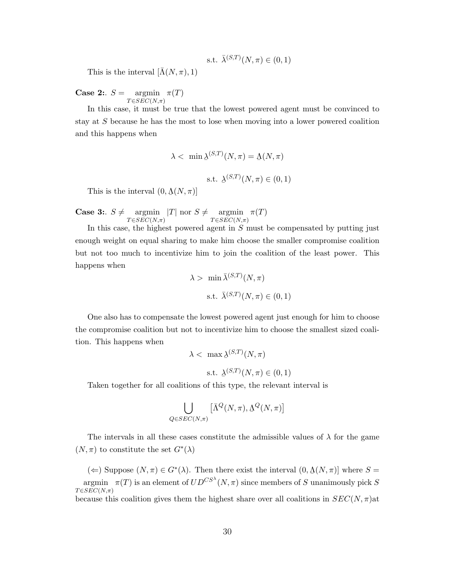s.t. 
$$
\bar{\lambda}^{(S,T)}(N,\pi) \in (0,1)
$$

This is the interval  $[\Lambda(N,\pi),1)$ 

Case 2:.  $S =$  $T \in SEC(N, \pi)$  $\argmin \pi(T)$ 

In this case, it must be true that the lowest powered agent must be convinced to stay at S because he has the most to lose when moving into a lower powered coalition and this happens when

$$
\lambda < \min \underline{\lambda}^{(S,T)}(N,\pi) = \underline{\Lambda}(N,\pi)
$$
\ns.t. 
$$
\underline{\lambda}^{(S,T)}(N,\pi) \in (0,1)
$$

This is the interval  $(0, \underline{\Lambda}(N, \pi))$ 

**Case 3:**  $S \neq \text{argmin}$  $T {\in}SEC(N{pi})$ |T| nor  $S \neq \text{argmin}$  $T {\in}SEC(N{pi})$  $\pi(T)$ 

In this case, the highest powered agent in  $S$  must be compensated by putting just enough weight on equal sharing to make him choose the smaller compromise coalition but not too much to incentivize him to join the coalition of the least power. This happens when

$$
\lambda > \min \bar{\lambda}^{(S,T)}(N,\pi)
$$
  
s.t.  $\bar{\lambda}^{(S,T)}(N,\pi) \in (0,1)$ 

One also has to compensate the lowest powered agent just enough for him to choose the compromise coalition but not to incentivize him to choose the smallest sized coalition. This happens when

$$
\lambda < \max \Delta^{(S,T)}(N, \pi)
$$
\n
$$
\text{s.t. } \Delta^{(S,T)}(N, \pi) \in (0, 1)
$$

Taken together for all coalitions of this type, the relevant interval is

$$
\bigcup_{Q \in SEC(N,\pi)} \left[ \bar{\Lambda}^Q(N,\pi), \Delta^Q(N,\pi) \right]
$$

The intervals in all these cases constitute the admissible values of  $\lambda$  for the game  $(N, \pi)$  to constitute the set  $G^*(\lambda)$ 

 $(\Leftarrow)$  Suppose  $(N, \pi) \in G^*(\lambda)$ . Then there exist the interval  $(0, \underline{\Lambda}(N, \pi))$  where  $S =$ ¯ argmin  $\pi(T)$  is an element of  $UD^{CS^{\lambda}}(N,\pi)$  since members of S unanimously pick S  $T \in \widetilde{SEC}(N,\pi)$ 

because this coalition gives them the highest share over all coalitions in  $SEC(N, \pi)$ at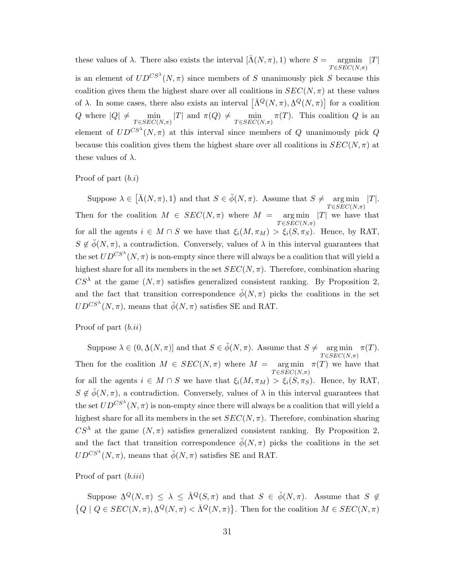these values of  $\lambda$ . There also exists the interval  $[\bar{\Lambda}(N,\pi), 1)$  where  $S = \text{argmin} |T|$  $T \in \widetilde{SEC}(N,\pi)$ is an element of  $UD^{CS^{\lambda}}(N, \pi)$  since members of S unanimously pick S because this coalition gives them the highest share over all coalitions in  $SEC(N, \pi)$  at these values of  $\lambda$ . In some cases, there also exists an interval  $\left[\bar{\Lambda}^Q(N,\pi), \Lambda^Q(N,\pi)\right]$  for a coalition ¯ Q where  $|Q| \neq \min_{T \in SEC(N,\pi)} |T|$  and  $\pi(Q) \neq \min_{T \in SEC(N,\pi)} \pi(T)$ . This coalition Q is an element of  $U D^{CS^{\lambda}}(N, \pi)$  at this interval since members of Q unanimously pick Q because this coalition gives them the highest share over all coalitions in  $SEC(N, \pi)$  at these values of  $\lambda$ .

Proof of part  $(b.i)$ 

Suppose  $\lambda \in [\bar{\Lambda}(N,\pi),1)$  and that  $S \in \check{\phi}(N,\pi)$ . Assume that  $S \neq \text{arg min}$  $T \in SEC(N,\pi)$  $|T|.$ Then for the coalition  $M \in SEC(N, \pi)$  where  $M = \arg \min$  $T \in SEC(N,\pi)$  $|T|$  we have that for all the agents  $i \in M \cap S$  we have that  $\xi_i(M, \pi_M) > \xi_i(S, \pi_S)$ . Hence, by RAT,  $S \notin \check{\phi}(N, \pi)$ , a contradiction. Conversely, values of  $\lambda$  in this interval guarantees that the set  $U D^{CS^{\lambda}}(N, \pi)$  is non-empty since there will always be a coalition that will yield a highest share for all its members in the set  $SEC(N, \pi)$ . Therefore, combination sharing  $CS^{\lambda}$  at the game  $(N, \pi)$  satisfies generalized consistent ranking. By Proposition 2, and the fact that transition correspondence  $\phi(N,\pi)$  picks the coalitions in the set  $UD^{CS^{\lambda}}(N, \pi)$ , means that  $\check{\phi}(N, \pi)$  satisfies SE and RAT.

Proof of part (b.ii)

Suppose  $\lambda \in (0, \underline{\Lambda}(N, \pi)]$  and that  $S \in \check{\phi}(N, \pi)$ . Assume that  $S \neq \underset{T \in SECI(N, \pi)}{\arg \min}$  $T \in SEC(N,\pi)$  $\pi(T).$ Then for the coalition  $M \in SEC(N, \pi)$  where  $M = \arg \min$  $T \in SEC(N,\pi)$  $\pi(T)$  we have that for all the agents  $i \in M \cap S$  we have that  $\xi_i(M, \pi_M) > \xi_i(S, \pi_S)$ . Hence, by RAT,  $S \notin \check{\phi}(N, \pi)$ , a contradiction. Conversely, values of  $\lambda$  in this interval guarantees that the set  $U D^{CS^{\lambda}}(N, \pi)$  is non-empty since there will always be a coalition that will yield a highest share for all its members in the set  $SEC(N, \pi)$ . Therefore, combination sharing  $CS^{\lambda}$  at the game  $(N,\pi)$  satisfies generalized consistent ranking. By Proposition 2, and the fact that transition correspondence  $\phi(N,\pi)$  picks the coalitions in the set  $UD^{CS^{\lambda}}(N, \pi)$ , means that  $\check{\phi}(N, \pi)$  satisfies SE and RAT.

Proof of part  $(b.iii)$ 

Suppose  $\Delta^Q(N,\pi) \leq \lambda \leq \bar{\Lambda}^Q(S,\pi)$  and that  $S \in \phi(N,\pi)$ . Assume that  $S \notin$ به<br>- $\{Q \mid Q \in SEC(N, \pi), \Delta^Q(N, \pi) < \bar{\Lambda}^Q(N, \pi)\}.$  Then for the coalition  $M \in SEC(N, \pi)$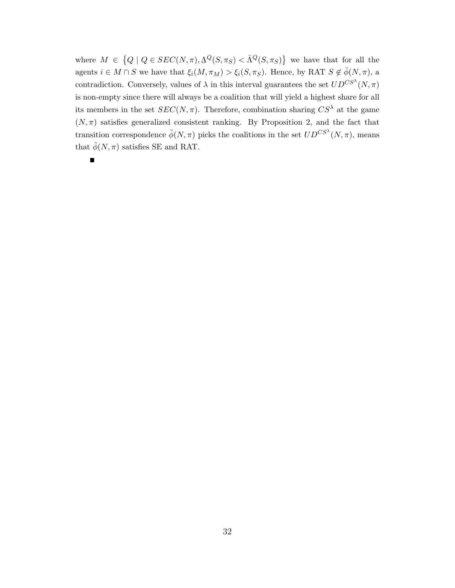where  $M \in \{Q \mid Q \in SEC(N, \pi), \Delta^Q(S, \pi_S) < \bar{\Lambda}^Q(S, \pi_S)\}\$ we have that for all the agents  $i \in M \cap S$  we have that  $\xi_i(M, \pi_M) > \xi_i(S, \pi_S)$ . Hence, by RAT  $S \notin \check{\phi}(N, \pi)$ , a contradiction. Conversely, values of  $\lambda$  in this interval guarantees the set  $UD^{CS^{\lambda}}(N, \pi)$ is non-empty since there will always be a coalition that will yield a highest share for all its members in the set  $SEC(N, \pi)$ . Therefore, combination sharing  $CS^{\lambda}$  at the game  $(N, \pi)$  satisfies generalized consistent ranking. By Proposition 2, and the fact that transition correspondence  $\check{\phi}(N,\pi)$  picks the coalitions in the set  $UD^{CS^{\lambda}}(N,\pi)$ , means that  $\check{\phi}(N,\pi)$  satisfies SE and RAT.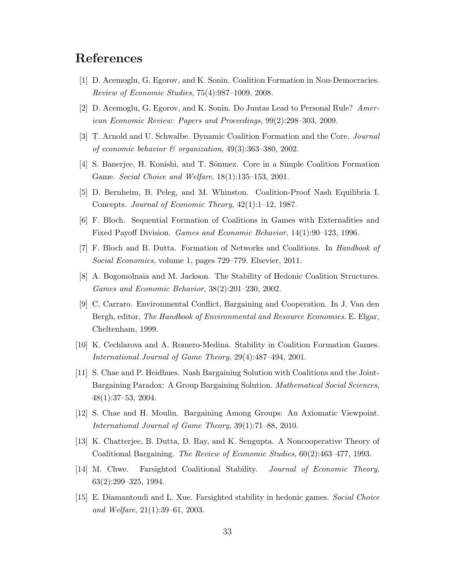## References

- [1] D. Acemoglu, G. Egorov, and K. Sonin. Coalition Formation in Non-Democracies. Review of Economic Studies, 75(4):987–1009, 2008.
- [2] D. Acemoglu, G. Egorov, and K. Sonin. Do Juntas Lead to Personal Rule? American Economic Review: Papers and Proceedings, 99(2):298–303, 2009.
- [3] T. Arnold and U. Schwalbe. Dynamic Coalition Formation and the Core. Journal of economic behavior  $\mathcal C$  organization, 49(3):363-380, 2002.
- [4] S. Banerjee, H. Konishi, and T. Sönmez. Core in a Simple Coalition Formation Game. Social Choice and Welfare, 18(1):135–153, 2001.
- [5] D. Bernheim, B. Peleg, and M. Whinston. Coalition-Proof Nash Equilibria I. Concepts. Journal of Economic Theory, 42(1):1–12, 1987.
- [6] F. Bloch. Sequential Formation of Coalitions in Games with Externalities and Fixed Payoff Division. Games and Economic Behavior, 14(1):90–123, 1996.
- [7] F. Bloch and B. Dutta. Formation of Networks and Coalitions. In Handbook of Social Economics, volume 1, pages 729–779. Elsevier, 2011.
- [8] A. Bogomolnaia and M. Jackson. The Stability of Hedonic Coalition Structures. Games and Economic Behavior, 38(2):201–230, 2002.
- [9] C. Carraro. Environmental Conflict, Bargaining and Cooperation. In J. Van den Bergh, editor, The Handbook of Environmental and Resource Economics. E. Elgar, Cheltenham, 1999.
- [10] K. Cechlarova and A. Romero-Medina. Stability in Coalition Formation Games. International Journal of Game Theory, 29(4):487–494, 2001.
- [11] S. Chae and P. Heidhues. Nash Bargaining Solution with Coalitions and the Joint-Bargaining Paradox: A Group Bargaining Solution. Mathematical Social Sciences, 48(1):37–53, 2004.
- [12] S. Chae and H. Moulin. Bargaining Among Groups: An Axiomatic Viewpoint. International Journal of Game Theory, 39(1):71–88, 2010.
- [13] K. Chatterjee, B. Dutta, D. Ray, and K. Sengupta. A Noncooperative Theory of Coalitional Bargaining. The Review of Economic Studies, 60(2):463–477, 1993.
- [14] M. Chwe. Farsighted Coalitional Stability. Journal of Economic Theory, 63(2):299–325, 1994.
- [15] E. Diamantoudi and L. Xue. Farsighted stability in hedonic games. Social Choice and Welfare, 21(1):39–61, 2003.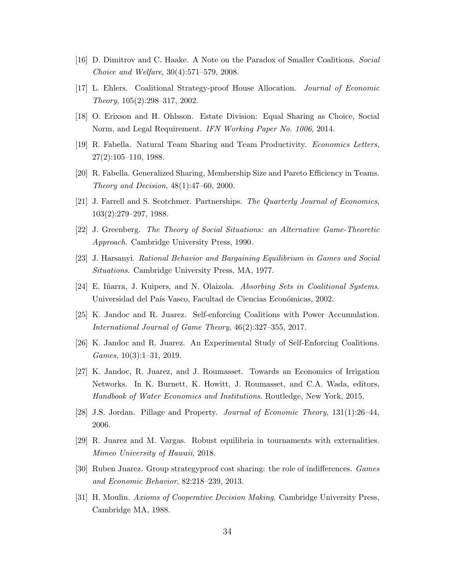- [16] D. Dimitrov and C. Haake. A Note on the Paradox of Smaller Coalitions. Social Choice and Welfare, 30(4):571–579, 2008.
- [17] L. Ehlers. Coalitional Strategy-proof House Allocation. Journal of Economic Theory, 105(2):298–317, 2002.
- [18] O. Erixson and H. Ohlsson. Estate Division: Equal Sharing as Choice, Social Norm, and Legal Requirement. IFN Working Paper No. 1006, 2014.
- [19] R. Fabella. Natural Team Sharing and Team Productivity. Economics Letters, 27(2):105–110, 1988.
- [20] R. Fabella. Generalized Sharing, Membership Size and Pareto Efficiency in Teams. Theory and Decision, 48(1):47–60, 2000.
- [21] J. Farrell and S. Scotchmer. Partnerships. The Quarterly Journal of Economics, 103(2):279–297, 1988.
- [22] J. Greenberg. The Theory of Social Situations: an Alternative Game-Theoretic Approach. Cambridge University Press, 1990.
- [23] J. Harsanyi. Rational Behavior and Bargaining Equilibrium in Games and Social Situations. Cambridge University Press, MA, 1977.
- [24] E. Iñarra, J. Kuipers, and N. Olaizola. Absorbing Sets in Coalitional Systems. Universidad del País Vasco, Facultad de Ciencias Económicas, 2002.
- [25] K. Jandoc and R. Juarez. Self-enforcing Coalitions with Power Accumulation. International Journal of Game Theory, 46(2):327–355, 2017.
- [26] K. Jandoc and R. Juarez. An Experimental Study of Self-Enforcing Coalitions. Games, 10(3):1–31, 2019.
- [27] K. Jandoc, R. Juarez, and J. Roumasset. Towards an Economics of Irrigation Networks. In K. Burnett, K. Howitt, J. Roumasset, and C.A. Wada, editors, Handbook of Water Economics and Institutions. Routledge, New York, 2015.
- [28] J.S. Jordan. Pillage and Property. Journal of Economic Theory, 131(1):26–44, 2006.
- [29] R. Juarez and M. Vargas. Robust equilibria in tournaments with externalities. Mimeo University of Hawaii, 2018.
- [30] Ruben Juarez. Group strategyproof cost sharing: the role of indifferences. Games and Economic Behavior, 82:218–239, 2013.
- [31] H. Moulin. Axioms of Cooperative Decision Making. Cambridge University Press, Cambridge MA, 1988.